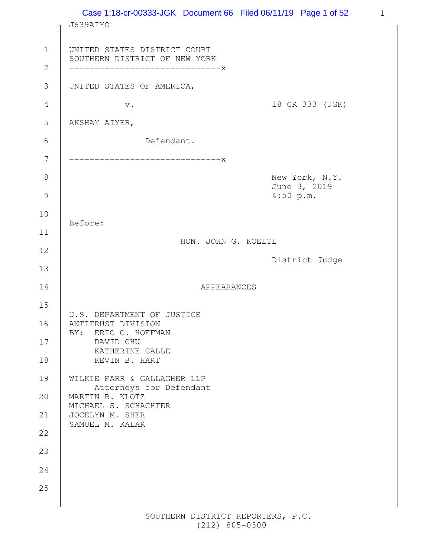|                    | Case 1:18-cr-00333-JGK Document 66 Filed 06/11/19 Page 1 of 52<br>J639AIYO |                                             |  |
|--------------------|----------------------------------------------------------------------------|---------------------------------------------|--|
| $\mathbf 1$        | UNITED STATES DISTRICT COURT<br>SOUTHERN DISTRICT OF NEW YORK              |                                             |  |
| $\overline{2}$     | ----------------------------X                                              |                                             |  |
| $\mathcal{S}$      | UNITED STATES OF AMERICA,                                                  |                                             |  |
| $\overline{4}$     | $\mathbf v$ .                                                              | 18 CR 333 (JGK)                             |  |
| 5                  | AKSHAY AIYER,                                                              |                                             |  |
| $\sqrt{6}$         | Defendant.                                                                 |                                             |  |
| 7                  | -----------------------------X                                             |                                             |  |
| 8<br>$\mathcal{G}$ |                                                                            | New York, N.Y.<br>June 3, 2019<br>4:50 p.m. |  |
|                    |                                                                            |                                             |  |
| 10                 | Before:                                                                    |                                             |  |
| 11                 | HON. JOHN G. KOELTL                                                        |                                             |  |
| 12                 |                                                                            | District Judge                              |  |
| 13                 |                                                                            |                                             |  |
| 14                 | <b>APPEARANCES</b>                                                         |                                             |  |
| 15                 | U.S. DEPARTMENT OF JUSTICE                                                 |                                             |  |
| 16                 | ANTITRUST DIVISION<br>ERIC C. HOFFMAN<br>BY:                               |                                             |  |
| 17                 | DAVID CHU<br>KATHERINE CALLE                                               |                                             |  |
| 18                 | KEVIN B. HART                                                              |                                             |  |
| 19                 | WILKIE FARR & GALLAGHER LLP<br>Attorneys for Defendant                     |                                             |  |
| 20                 | MARTIN B. KLOTZ<br>MICHAEL S. SCHACHTER                                    |                                             |  |
| 21                 | JOCELYN M. SHER                                                            |                                             |  |
| 22                 | SAMUEL M. KALAR                                                            |                                             |  |
| 23                 |                                                                            |                                             |  |
| 24                 |                                                                            |                                             |  |
| 25                 |                                                                            |                                             |  |
|                    |                                                                            |                                             |  |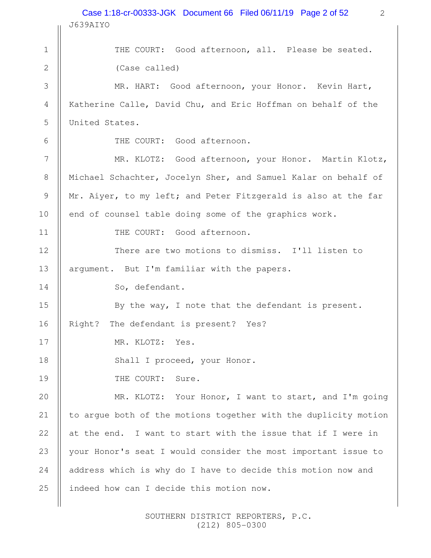2 J639AIYO THE COURT: Good afternoon, all. Please be seated. (Case called) MR. HART: Good afternoon, your Honor. Kevin Hart, Katherine Calle, David Chu, and Eric Hoffman on behalf of the United States. THE COURT: Good afternoon. MR. KLOTZ: Good afternoon, your Honor. Martin Klotz, Michael Schachter, Jocelyn Sher, and Samuel Kalar on behalf of Mr. Aiyer, to my left; and Peter Fitzgerald is also at the far end of counsel table doing some of the graphics work. THE COURT: Good afternoon. There are two motions to dismiss. I'll listen to argument. But I'm familiar with the papers. So, defendant. By the way, I note that the defendant is present. Right? The defendant is present? Yes? MR. KLOTZ: Yes. Shall I proceed, your Honor. THE COURT: Sure. MR. KLOTZ: Your Honor, I want to start, and I'm going to argue both of the motions together with the duplicity motion at the end. I want to start with the issue that if I were in your Honor's seat I would consider the most important issue to address which is why do I have to decide this motion now and indeed how can I decide this motion now. 1 2 3 4 5 6 7 8 9 10 11 12 13 14 15 16 17 18 19 20 21 22 23 24 25 Case 1:18-cr-00333-JGK Document 66 Filed 06/11/19 Page 2 of 52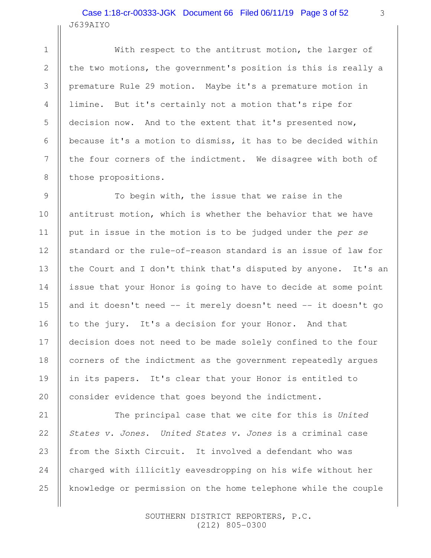# J639AIYO Case 1:18-cr-00333-JGK Document 66 Filed 06/11/19 Page 3 of 52

1

2

3

4

5

6

7

8

9

10

11

12

13

14

15

16

17

18

19

20

21

22

23

24

25

With respect to the antitrust motion, the larger of the two motions, the government's position is this is really a premature Rule 29 motion. Maybe it's a premature motion in limine. But it's certainly not a motion that's ripe for decision now. And to the extent that it's presented now, because it's a motion to dismiss, it has to be decided within the four corners of the indictment. We disagree with both of those propositions.

To begin with, the issue that we raise in the antitrust motion, which is whether the behavior that we have put in issue in the motion is to be judged under the per se standard or the rule-of-reason standard is an issue of law for the Court and I don't think that's disputed by anyone. It's an issue that your Honor is going to have to decide at some point and it doesn't need -- it merely doesn't need -- it doesn't go to the jury. It's a decision for your Honor. And that decision does not need to be made solely confined to the four corners of the indictment as the government repeatedly argues in its papers. It's clear that your Honor is entitled to consider evidence that goes beyond the indictment.

The principal case that we cite for this is United States v. Jones. United States v. Jones is a criminal case from the Sixth Circuit. It involved a defendant who was charged with illicitly eavesdropping on his wife without her knowledge or permission on the home telephone while the couple

> SOUTHERN DISTRICT REPORTERS, P.C. (212) 805-0300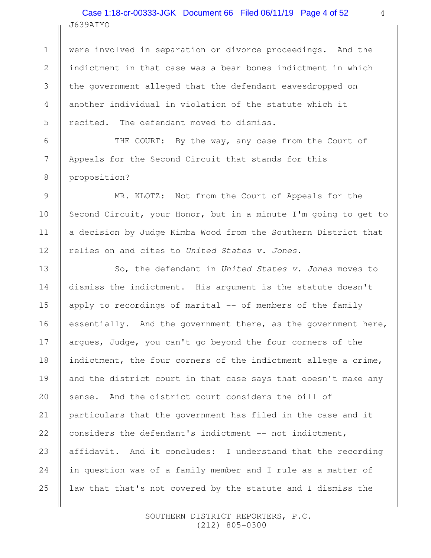# J639AIYO Case 1:18-cr-00333-JGK Document 66 Filed 06/11/19 Page 4 of 52

1

2

3

4

5

6

7

8

9

10

11

12

13

14

15

16

17

18

19

20

21

22

23

24

25

were involved in separation or divorce proceedings. And the indictment in that case was a bear bones indictment in which the government alleged that the defendant eavesdropped on another individual in violation of the statute which it recited. The defendant moved to dismiss.

THE COURT: By the way, any case from the Court of Appeals for the Second Circuit that stands for this proposition?

MR. KLOTZ: Not from the Court of Appeals for the Second Circuit, your Honor, but in a minute I'm going to get to a decision by Judge Kimba Wood from the Southern District that relies on and cites to United States v. Jones.

So, the defendant in United States v. Jones moves to dismiss the indictment. His argument is the statute doesn't apply to recordings of marital -- of members of the family essentially. And the government there, as the government here, argues, Judge, you can't go beyond the four corners of the indictment, the four corners of the indictment allege a crime, and the district court in that case says that doesn't make any sense. And the district court considers the bill of particulars that the government has filed in the case and it considers the defendant's indictment -- not indictment, affidavit. And it concludes: I understand that the recording in question was of a family member and I rule as a matter of law that that's not covered by the statute and I dismiss the

> SOUTHERN DISTRICT REPORTERS, P.C. (212) 805-0300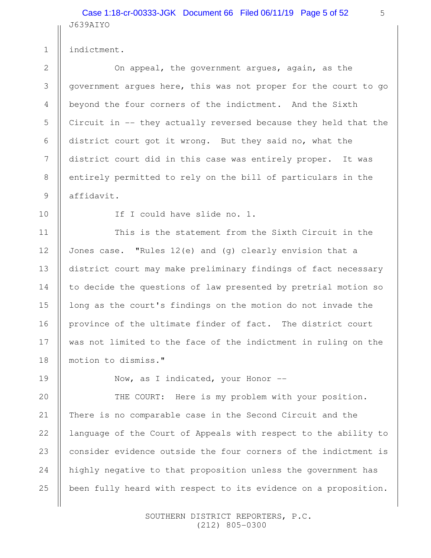J639AIYO Case 1:18-cr-00333-JGK Document 66 Filed 06/11/19 Page 5 of 52

indictment.

On appeal, the government argues, again, as the government argues here, this was not proper for the court to go beyond the four corners of the indictment. And the Sixth Circuit in -- they actually reversed because they held that the district court got it wrong. But they said no, what the district court did in this case was entirely proper. It was entirely permitted to rely on the bill of particulars in the affidavit.

10

11

12

13

14

15

16

17

18

19

1

2

3

4

5

6

7

8

9

If I could have slide no. 1.

This is the statement from the Sixth Circuit in the Jones case. "Rules  $12(e)$  and  $(q)$  clearly envision that a district court may make preliminary findings of fact necessary to decide the questions of law presented by pretrial motion so long as the court's findings on the motion do not invade the province of the ultimate finder of fact. The district court was not limited to the face of the indictment in ruling on the motion to dismiss."

Now, as I indicated, your Honor --

THE COURT: Here is my problem with your position. There is no comparable case in the Second Circuit and the language of the Court of Appeals with respect to the ability to consider evidence outside the four corners of the indictment is highly negative to that proposition unless the government has been fully heard with respect to its evidence on a proposition. 20 21 22 23 24 25

> SOUTHERN DISTRICT REPORTERS, P.C. (212) 805-0300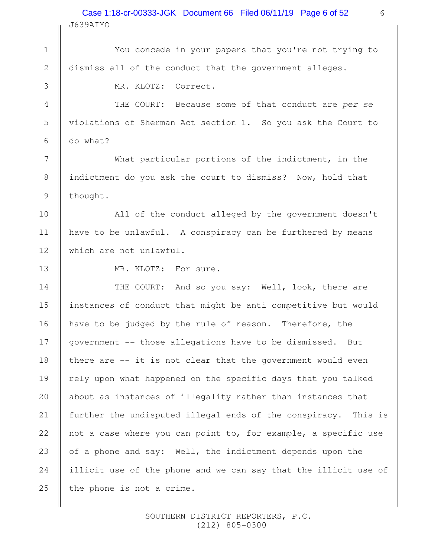J639AIYO Case 1:18-cr-00333-JGK Document 66 Filed 06/11/19 Page 6 of 52

6

You concede in your papers that you're not trying to dismiss all of the conduct that the government alleges. MR. KLOTZ: Correct. THE COURT: Because some of that conduct are per se violations of Sherman Act section 1. So you ask the Court to do what? What particular portions of the indictment, in the indictment do you ask the court to dismiss? Now, hold that thought. All of the conduct alleged by the government doesn't have to be unlawful. A conspiracy can be furthered by means which are not unlawful. MR. KLOTZ: For sure. THE COURT: And so you say: Well, look, there are instances of conduct that might be anti competitive but would have to be judged by the rule of reason. Therefore, the government -- those allegations have to be dismissed. But there are -- it is not clear that the government would even rely upon what happened on the specific days that you talked about as instances of illegality rather than instances that further the undisputed illegal ends of the conspiracy. This is not a case where you can point to, for example, a specific use of a phone and say: Well, the indictment depends upon the illicit use of the phone and we can say that the illicit use of the phone is not a crime. 1 2 3 4 5 6 7 8 9 10 11 12 13 14 15 16 17 18 19 20 21 22 23 24 25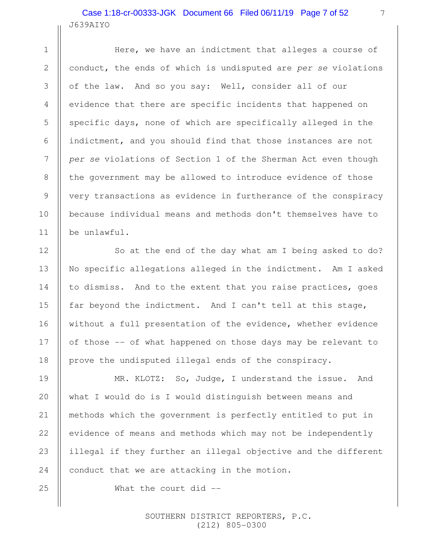# J639AIYO Case 1:18-cr-00333-JGK Document 66 Filed 06/11/19 Page 7 of 52

1

2

3

4

5

6

7

8

9

10

11

12

13

14

15

16

17

18

19

20

21

22

23

24

25

Here, we have an indictment that alleges a course of conduct, the ends of which is undisputed are per se violations of the law. And so you say: Well, consider all of our evidence that there are specific incidents that happened on specific days, none of which are specifically alleged in the indictment, and you should find that those instances are not per se violations of Section 1 of the Sherman Act even though the government may be allowed to introduce evidence of those very transactions as evidence in furtherance of the conspiracy because individual means and methods don't themselves have to be unlawful.

So at the end of the day what am I being asked to do? No specific allegations alleged in the indictment. Am I asked to dismiss. And to the extent that you raise practices, goes far beyond the indictment. And I can't tell at this stage, without a full presentation of the evidence, whether evidence of those -- of what happened on those days may be relevant to prove the undisputed illegal ends of the conspiracy.

MR. KLOTZ: So, Judge, I understand the issue. And what I would do is I would distinguish between means and methods which the government is perfectly entitled to put in evidence of means and methods which may not be independently illegal if they further an illegal objective and the different conduct that we are attacking in the motion.

What the court did --

 SOUTHERN DISTRICT REPORTERS, P.C. (212) 805-0300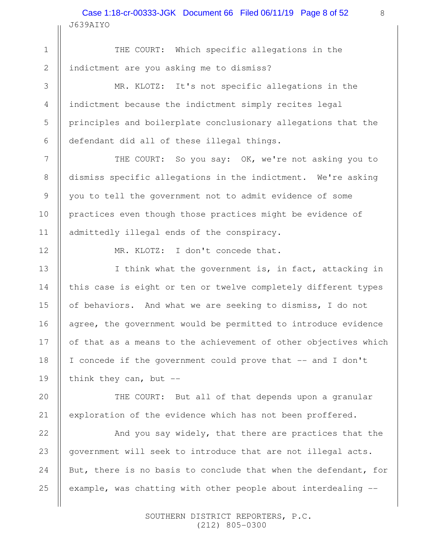J639AIYO Case 1:18-cr-00333-JGK Document 66 Filed 06/11/19 Page 8 of 52

THE COURT: Which specific allegations in the indictment are you asking me to dismiss?

MR. KLOTZ: It's not specific allegations in the indictment because the indictment simply recites legal principles and boilerplate conclusionary allegations that the defendant did all of these illegal things.

THE COURT: So you say: OK, we're not asking you to dismiss specific allegations in the indictment. We're asking you to tell the government not to admit evidence of some practices even though those practices might be evidence of admittedly illegal ends of the conspiracy.

MR. KLOTZ: I don't concede that.

I think what the government is, in fact, attacking in this case is eight or ten or twelve completely different types of behaviors. And what we are seeking to dismiss, I do not agree, the government would be permitted to introduce evidence of that as a means to the achievement of other objectives which I concede if the government could prove that -- and I don't think they can, but  $-$ 

THE COURT: But all of that depends upon a granular exploration of the evidence which has not been proffered.

And you say widely, that there are practices that the government will seek to introduce that are not illegal acts. But, there is no basis to conclude that when the defendant, for example, was chatting with other people about interdealing -- 23 24 25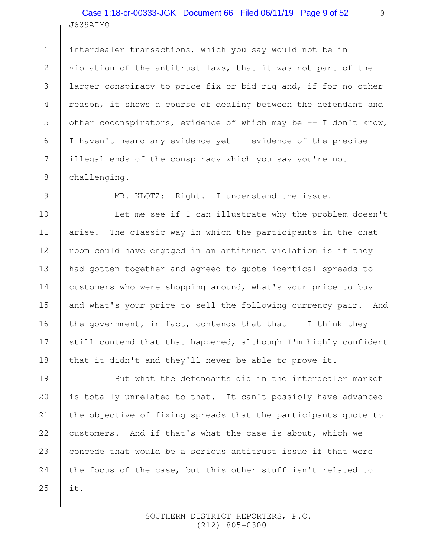# J639AIYO Case 1:18-cr-00333-JGK Document 66 Filed 06/11/19 Page 9 of 52

interdealer transactions, which you say would not be in violation of the antitrust laws, that it was not part of the larger conspiracy to price fix or bid rig and, if for no other reason, it shows a course of dealing between the defendant and other coconspirators, evidence of which may be -- I don't know, I haven't heard any evidence yet -- evidence of the precise illegal ends of the conspiracy which you say you're not challenging.

1

2

3

4

5

6

7

8

9

10

11

12

13

14

15

16

17

18

20

21

25

MR. KLOTZ: Right. I understand the issue.

Let me see if I can illustrate why the problem doesn't arise. The classic way in which the participants in the chat room could have engaged in an antitrust violation is if they had gotten together and agreed to quote identical spreads to customers who were shopping around, what's your price to buy and what's your price to sell the following currency pair. And the government, in fact, contends that that  $-$ - I think they still contend that that happened, although I'm highly confident that it didn't and they'll never be able to prove it.

But what the defendants did in the interdealer market is totally unrelated to that. It can't possibly have advanced the objective of fixing spreads that the participants quote to customers. And if that's what the case is about, which we concede that would be a serious antitrust issue if that were the focus of the case, but this other stuff isn't related to it. 19 22 23 24

> SOUTHERN DISTRICT REPORTERS, P.C. (212) 805-0300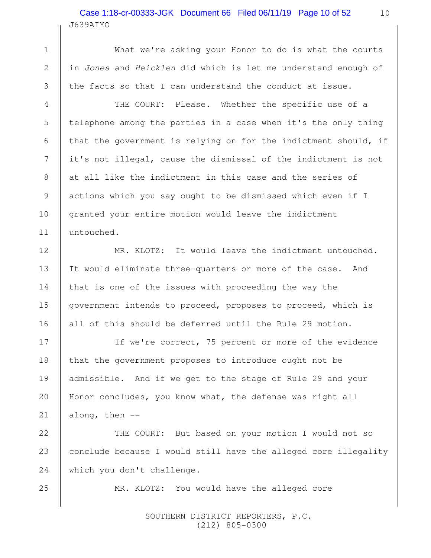## J639AIYO Case 1:18-cr-00333-JGK Document 66 Filed 06/11/19 Page 10 of 52

What we're asking your Honor to do is what the courts in Jones and Heicklen did which is let me understand enough of the facts so that I can understand the conduct at issue.

THE COURT: Please. Whether the specific use of a telephone among the parties in a case when it's the only thing that the government is relying on for the indictment should, if it's not illegal, cause the dismissal of the indictment is not at all like the indictment in this case and the series of actions which you say ought to be dismissed which even if I granted your entire motion would leave the indictment untouched.

MR. KLOTZ: It would leave the indictment untouched. It would eliminate three-quarters or more of the case. And that is one of the issues with proceeding the way the government intends to proceed, proposes to proceed, which is all of this should be deferred until the Rule 29 motion.

If we're correct, 75 percent or more of the evidence that the government proposes to introduce ought not be admissible. And if we get to the stage of Rule 29 and your Honor concludes, you know what, the defense was right all along, then --

THE COURT: But based on your motion I would not so conclude because I would still have the alleged core illegality which you don't challenge.

MR. KLOTZ: You would have the alleged core

 SOUTHERN DISTRICT REPORTERS, P.C. (212) 805-0300

25

1

2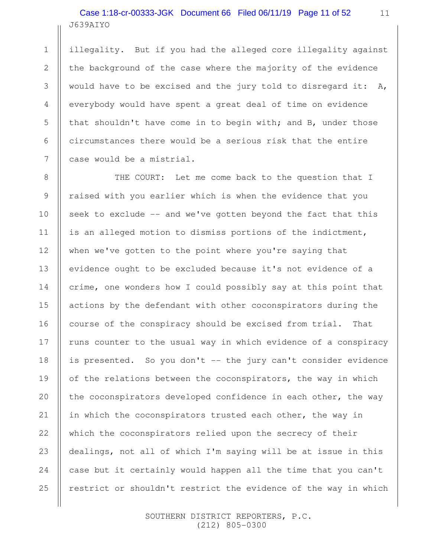# J639AIYO Case 1:18-cr-00333-JGK Document 66 Filed 06/11/19 Page 11 of 52

1

2

3

4

5

6

7

8

9

10

11

12

13

14

15

16

18

20

21

22

24

25

illegality. But if you had the alleged core illegality against the background of the case where the majority of the evidence would have to be excised and the jury told to disregard it: A, everybody would have spent a great deal of time on evidence that shouldn't have come in to begin with; and B, under those circumstances there would be a serious risk that the entire case would be a mistrial.

THE COURT: Let me come back to the question that I raised with you earlier which is when the evidence that you seek to exclude -- and we've gotten beyond the fact that this is an alleged motion to dismiss portions of the indictment, when we've gotten to the point where you're saying that evidence ought to be excluded because it's not evidence of a crime, one wonders how I could possibly say at this point that actions by the defendant with other coconspirators during the course of the conspiracy should be excised from trial. That runs counter to the usual way in which evidence of a conspiracy is presented. So you don't -- the jury can't consider evidence of the relations between the coconspirators, the way in which the coconspirators developed confidence in each other, the way in which the coconspirators trusted each other, the way in which the coconspirators relied upon the secrecy of their dealings, not all of which I'm saying will be at issue in this case but it certainly would happen all the time that you can't restrict or shouldn't restrict the evidence of the way in which 17 19 23

> SOUTHERN DISTRICT REPORTERS, P.C. (212) 805-0300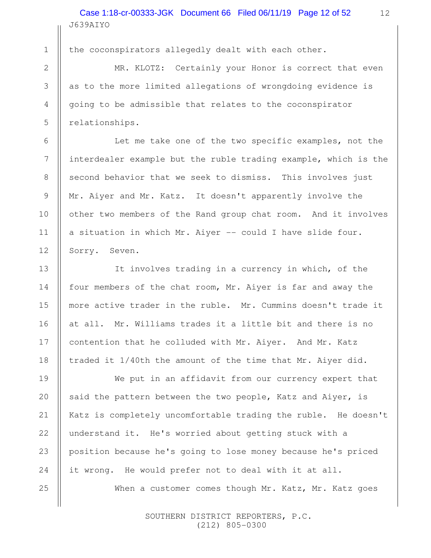J639AIYO Case 1:18-cr-00333-JGK Document 66 Filed 06/11/19 Page 12 of 52

6

7

8

9

10

11

12

13

14

15

16

17

18

19

20

21

22

23

24

25

1

the coconspirators allegedly dealt with each other.

MR. KLOTZ: Certainly your Honor is correct that even as to the more limited allegations of wrongdoing evidence is going to be admissible that relates to the coconspirator relationships.

Let me take one of the two specific examples, not the interdealer example but the ruble trading example, which is the second behavior that we seek to dismiss. This involves just Mr. Aiyer and Mr. Katz. It doesn't apparently involve the other two members of the Rand group chat room. And it involves a situation in which Mr. Aiyer -- could I have slide four. Sorry. Seven.

It involves trading in a currency in which, of the four members of the chat room, Mr. Aiyer is far and away the more active trader in the ruble. Mr. Cummins doesn't trade it at all. Mr. Williams trades it a little bit and there is no contention that he colluded with Mr. Aiyer. And Mr. Katz traded it 1/40th the amount of the time that Mr. Aiyer did.

We put in an affidavit from our currency expert that said the pattern between the two people, Katz and Aiyer, is Katz is completely uncomfortable trading the ruble. He doesn't understand it. He's worried about getting stuck with a position because he's going to lose money because he's priced it wrong. He would prefer not to deal with it at all.

When a customer comes though Mr. Katz, Mr. Katz goes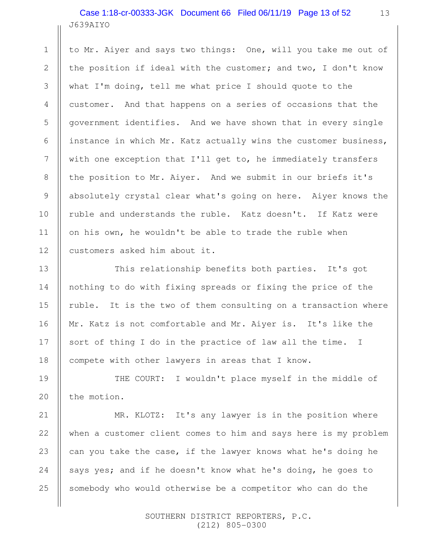#### J639AIYO Case 1:18-cr-00333-JGK Document 66 Filed 06/11/19 Page 13 of 52

1

2

3

4

5

6

7

8

9

10

11

12

13

14

15

16

17

18

21

22

23

24

25

to Mr. Aiyer and says two things: One, will you take me out of the position if ideal with the customer; and two, I don't know what I'm doing, tell me what price I should quote to the customer. And that happens on a series of occasions that the government identifies. And we have shown that in every single instance in which Mr. Katz actually wins the customer business, with one exception that I'll get to, he immediately transfers the position to Mr. Aiyer. And we submit in our briefs it's absolutely crystal clear what's going on here. Aiyer knows the ruble and understands the ruble. Katz doesn't. If Katz were on his own, he wouldn't be able to trade the ruble when customers asked him about it.

This relationship benefits both parties. It's got nothing to do with fixing spreads or fixing the price of the ruble. It is the two of them consulting on a transaction where Mr. Katz is not comfortable and Mr. Aiyer is. It's like the sort of thing I do in the practice of law all the time. I compete with other lawyers in areas that I know.

THE COURT: I wouldn't place myself in the middle of the motion. 19 20

MR. KLOTZ: It's any lawyer is in the position where when a customer client comes to him and says here is my problem can you take the case, if the lawyer knows what he's doing he says yes; and if he doesn't know what he's doing, he goes to somebody who would otherwise be a competitor who can do the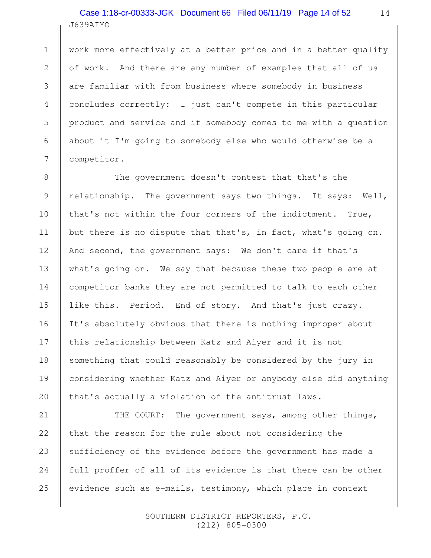# J639AIYO Case 1:18-cr-00333-JGK Document 66 Filed 06/11/19 Page 14 of 52

work more effectively at a better price and in a better quality of work. And there are any number of examples that all of us are familiar with from business where somebody in business concludes correctly: I just can't compete in this particular product and service and if somebody comes to me with a question about it I'm going to somebody else who would otherwise be a competitor.

The government doesn't contest that that's the relationship. The government says two things. It says: Well, that's not within the four corners of the indictment. True, but there is no dispute that that's, in fact, what's going on. And second, the government says: We don't care if that's what's going on. We say that because these two people are at competitor banks they are not permitted to talk to each other like this. Period. End of story. And that's just crazy. It's absolutely obvious that there is nothing improper about this relationship between Katz and Aiyer and it is not something that could reasonably be considered by the jury in considering whether Katz and Aiyer or anybody else did anything that's actually a violation of the antitrust laws.

THE COURT: The government says, among other things, that the reason for the rule about not considering the sufficiency of the evidence before the government has made a full proffer of all of its evidence is that there can be other evidence such as e-mails, testimony, which place in context 21 22 23 24 25

> SOUTHERN DISTRICT REPORTERS, P.C. (212) 805-0300

1

2

3

4

5

6

7

8

9

10

11

12

13

14

15

16

17

18

19

20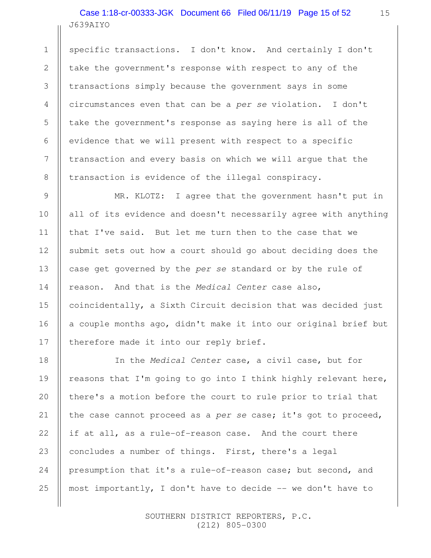## J639AIYO Case 1:18-cr-00333-JGK Document 66 Filed 06/11/19 Page 15 of 52

1

2

3

4

5

6

7

8

9

10

11

12

13

14

15

16

17

specific transactions. I don't know. And certainly I don't take the government's response with respect to any of the transactions simply because the government says in some circumstances even that can be a per se violation. I don't take the government's response as saying here is all of the evidence that we will present with respect to a specific transaction and every basis on which we will argue that the transaction is evidence of the illegal conspiracy.

MR. KLOTZ: I agree that the government hasn't put in all of its evidence and doesn't necessarily agree with anything that I've said. But let me turn then to the case that we submit sets out how a court should go about deciding does the case get governed by the per se standard or by the rule of reason. And that is the Medical Center case also, coincidentally, a Sixth Circuit decision that was decided just a couple months ago, didn't make it into our original brief but therefore made it into our reply brief.

In the Medical Center case, a civil case, but for reasons that I'm going to go into I think highly relevant here, there's a motion before the court to rule prior to trial that the case cannot proceed as a per se case; it's got to proceed, if at all, as a rule-of-reason case. And the court there concludes a number of things. First, there's a legal presumption that it's a rule-of-reason case; but second, and most importantly, I don't have to decide -- we don't have to 18 19 20 21 22 23 24 25

> SOUTHERN DISTRICT REPORTERS, P.C. (212) 805-0300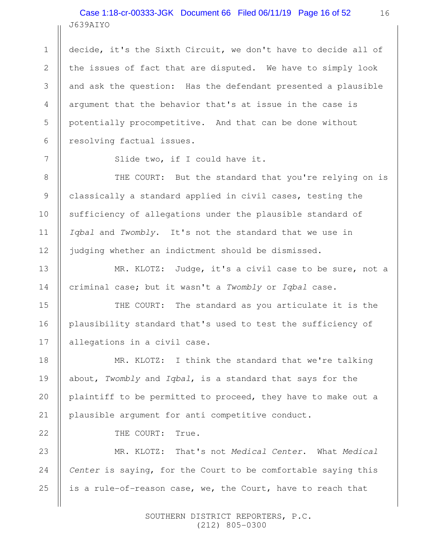# J639AIYO Case 1:18-cr-00333-JGK Document 66 Filed 06/11/19 Page 16 of 52

decide, it's the Sixth Circuit, we don't have to decide all of the issues of fact that are disputed. We have to simply look and ask the question: Has the defendant presented a plausible argument that the behavior that's at issue in the case is potentially procompetitive. And that can be done without resolving factual issues.

Slide two, if I could have it.

THE COURT: But the standard that you're relying on is classically a standard applied in civil cases, testing the sufficiency of allegations under the plausible standard of Igbal and Twombly. It's not the standard that we use in judging whether an indictment should be dismissed.

MR. KLOTZ: Judge, it's a civil case to be sure, not a criminal case; but it wasn't a Twombly or Iqbal case.

THE COURT: The standard as you articulate it is the plausibility standard that's used to test the sufficiency of allegations in a civil case.

MR. KLOTZ: I think the standard that we're talking about, Twombly and Iqbal, is a standard that says for the plaintiff to be permitted to proceed, they have to make out a plausible argument for anti competitive conduct.

THE COURT: True.

MR. KLOTZ: That's not Medical Center. What Medical Center is saying, for the Court to be comfortable saying this is a rule-of-reason case, we, the Court, have to reach that 24 25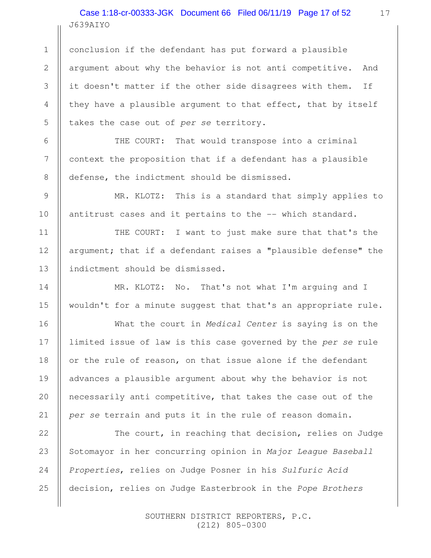J639AIYO Case 1:18-cr-00333-JGK Document 66 Filed 06/11/19 Page 17 of 52

1

2

3

4

5

6

7

8

9

10

11

12

13

14

15

16

17

18

19

20

21

conclusion if the defendant has put forward a plausible argument about why the behavior is not anti competitive. And it doesn't matter if the other side disagrees with them. If they have a plausible argument to that effect, that by itself takes the case out of per se territory.

THE COURT: That would transpose into a criminal context the proposition that if a defendant has a plausible defense, the indictment should be dismissed.

MR. KLOTZ: This is a standard that simply applies to antitrust cases and it pertains to the -- which standard.

THE COURT: I want to just make sure that that's the argument; that if a defendant raises a "plausible defense" the indictment should be dismissed.

MR. KLOTZ: No. That's not what I'm arguing and I wouldn't for a minute suggest that that's an appropriate rule.

What the court in Medical Center is saying is on the limited issue of law is this case governed by the per se rule or the rule of reason, on that issue alone if the defendant advances a plausible argument about why the behavior is not necessarily anti competitive, that takes the case out of the per se terrain and puts it in the rule of reason domain.

The court, in reaching that decision, relies on Judge Sotomayor in her concurring opinion in Major League Baseball Properties, relies on Judge Posner in his Sulfuric Acid decision, relies on Judge Easterbrook in the Pope Brothers 22 23 24 25

> SOUTHERN DISTRICT REPORTERS, P.C. (212) 805-0300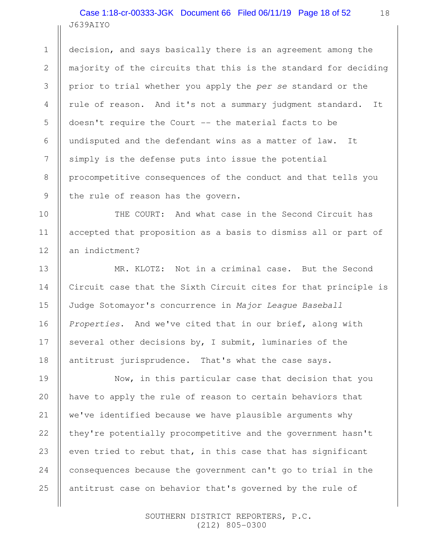J639AIYO Case 1:18-cr-00333-JGK Document 66 Filed 06/11/19 Page 18 of 52

1

2

3

4

5

6

7

8

9

10

11

12

13

14

15

16

17

18

decision, and says basically there is an agreement among the majority of the circuits that this is the standard for deciding prior to trial whether you apply the per se standard or the rule of reason. And it's not a summary judgment standard. It doesn't require the Court -- the material facts to be undisputed and the defendant wins as a matter of law. It simply is the defense puts into issue the potential procompetitive consequences of the conduct and that tells you the rule of reason has the govern.

THE COURT: And what case in the Second Circuit has accepted that proposition as a basis to dismiss all or part of an indictment?

MR. KLOTZ: Not in a criminal case. But the Second Circuit case that the Sixth Circuit cites for that principle is Judge Sotomayor's concurrence in Major League Baseball Properties. And we've cited that in our brief, along with several other decisions by, I submit, luminaries of the antitrust jurisprudence. That's what the case says.

Now, in this particular case that decision that you have to apply the rule of reason to certain behaviors that we've identified because we have plausible arguments why they're potentially procompetitive and the government hasn't even tried to rebut that, in this case that has significant consequences because the government can't go to trial in the antitrust case on behavior that's governed by the rule of 19 20 21 22 23 24 25

> SOUTHERN DISTRICT REPORTERS, P.C. (212) 805-0300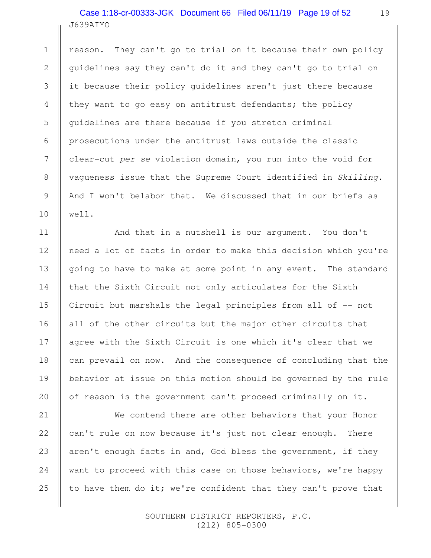## J639AIYO Case 1:18-cr-00333-JGK Document 66 Filed 06/11/19 Page 19 of 52

reason. They can't go to trial on it because their own policy guidelines say they can't do it and they can't go to trial on it because their policy guidelines aren't just there because they want to go easy on antitrust defendants; the policy guidelines are there because if you stretch criminal prosecutions under the antitrust laws outside the classic clear-cut per se violation domain, you run into the void for vagueness issue that the Supreme Court identified in Skilling. And I won't belabor that. We discussed that in our briefs as well.

And that in a nutshell is our argument. You don't need a lot of facts in order to make this decision which you're going to have to make at some point in any event. The standard that the Sixth Circuit not only articulates for the Sixth Circuit but marshals the legal principles from all of -- not all of the other circuits but the major other circuits that agree with the Sixth Circuit is one which it's clear that we can prevail on now. And the consequence of concluding that the behavior at issue on this motion should be governed by the rule of reason is the government can't proceed criminally on it.

We contend there are other behaviors that your Honor can't rule on now because it's just not clear enough. There aren't enough facts in and, God bless the government, if they want to proceed with this case on those behaviors, we're happy to have them do it; we're confident that they can't prove that

> SOUTHERN DISTRICT REPORTERS, P.C. (212) 805-0300

25

1

2

3

4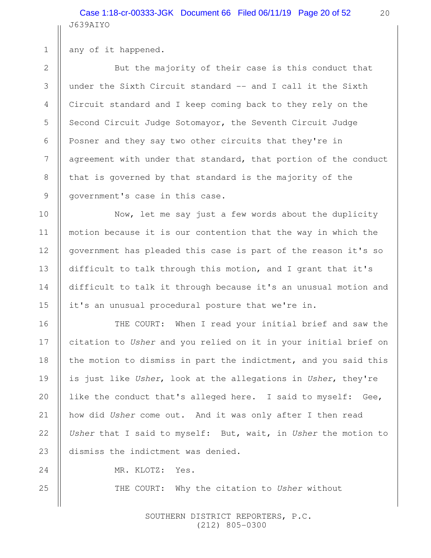J639AIYO Case 1:18-cr-00333-JGK Document 66 Filed 06/11/19 Page 20 of 52

any of it happened.

But the majority of their case is this conduct that under the Sixth Circuit standard -- and I call it the Sixth Circuit standard and I keep coming back to they rely on the Second Circuit Judge Sotomayor, the Seventh Circuit Judge Posner and they say two other circuits that they're in agreement with under that standard, that portion of the conduct that is governed by that standard is the majority of the government's case in this case.

Now, let me say just a few words about the duplicity motion because it is our contention that the way in which the government has pleaded this case is part of the reason it's so difficult to talk through this motion, and I grant that it's difficult to talk it through because it's an unusual motion and it's an unusual procedural posture that we're in.

THE COURT: When I read your initial brief and saw the citation to Usher and you relied on it in your initial brief on the motion to dismiss in part the indictment, and you said this is just like Usher, look at the allegations in Usher, they're like the conduct that's alleged here. I said to myself: Gee, how did Usher come out. And it was only after I then read Usher that I said to myself: But, wait, in Usher the motion to dismiss the indictment was denied.

MR. KLOTZ: Yes.

THE COURT: Why the citation to Usher without

 SOUTHERN DISTRICT REPORTERS, P.C. (212) 805-0300

1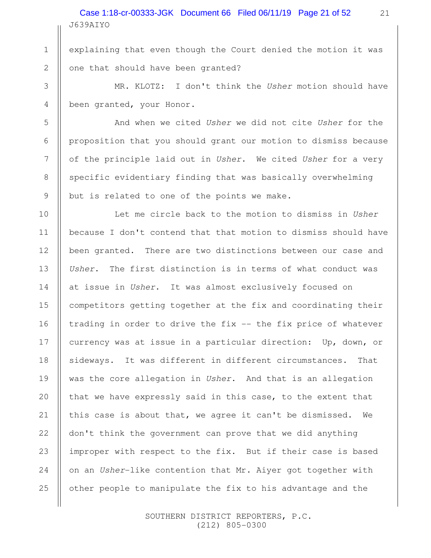J639AIYO Case 1:18-cr-00333-JGK Document 66 Filed 06/11/19 Page 21 of 52

explaining that even though the Court denied the motion it was one that should have been granted?

1

2

3

4

5

6

7

8

9

10

11

12

13

14

15

16

17

18

19

20

21

22

23

24

25

MR. KLOTZ: I don't think the Usher motion should have been granted, your Honor.

And when we cited Usher we did not cite Usher for the proposition that you should grant our motion to dismiss because of the principle laid out in Usher. We cited Usher for a very specific evidentiary finding that was basically overwhelming but is related to one of the points we make.

Let me circle back to the motion to dismiss in Usher because I don't contend that that motion to dismiss should have been granted. There are two distinctions between our case and Usher. The first distinction is in terms of what conduct was at issue in Usher. It was almost exclusively focused on competitors getting together at the fix and coordinating their trading in order to drive the  $fix --$  the  $fix$  price of whatever currency was at issue in a particular direction: Up, down, or sideways. It was different in different circumstances. That was the core allegation in Usher. And that is an allegation that we have expressly said in this case, to the extent that this case is about that, we agree it can't be dismissed. We don't think the government can prove that we did anything improper with respect to the fix. But if their case is based on an Usher-like contention that Mr. Aiyer got together with other people to manipulate the fix to his advantage and the

> SOUTHERN DISTRICT REPORTERS, P.C. (212) 805-0300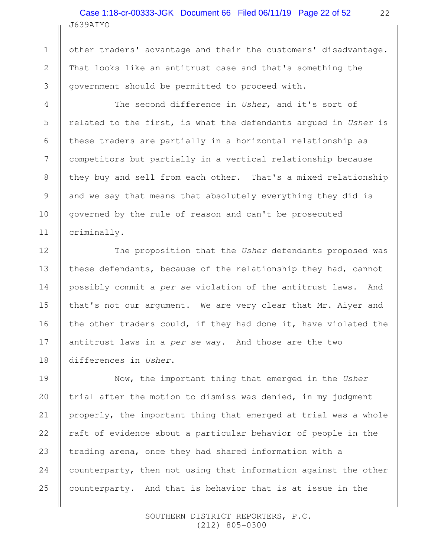## J639AIYO Case 1:18-cr-00333-JGK Document 66 Filed 06/11/19 Page 22 of 52

1

2

3

4

5

6

7

8

9

10

11

12

13

14

15

16

17

18

other traders' advantage and their the customers' disadvantage. That looks like an antitrust case and that's something the government should be permitted to proceed with.

The second difference in Usher, and it's sort of related to the first, is what the defendants argued in Usher is these traders are partially in a horizontal relationship as competitors but partially in a vertical relationship because they buy and sell from each other. That's a mixed relationship and we say that means that absolutely everything they did is governed by the rule of reason and can't be prosecuted criminally.

The proposition that the Usher defendants proposed was these defendants, because of the relationship they had, cannot possibly commit a per se violation of the antitrust laws. And that's not our argument. We are very clear that Mr. Aiyer and the other traders could, if they had done it, have violated the antitrust laws in a per se way. And those are the two differences in Usher.

Now, the important thing that emerged in the Usher trial after the motion to dismiss was denied, in my judgment properly, the important thing that emerged at trial was a whole raft of evidence about a particular behavior of people in the trading arena, once they had shared information with a counterparty, then not using that information against the other counterparty. And that is behavior that is at issue in the 19 20 21 22 23 24 25

> SOUTHERN DISTRICT REPORTERS, P.C. (212) 805-0300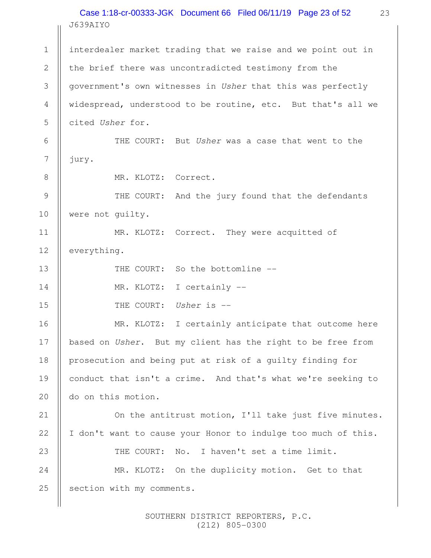#### J639AIYO Case 1:18-cr-00333-JGK Document 66 Filed 06/11/19 Page 23 of 52

interdealer market trading that we raise and we point out in the brief there was uncontradicted testimony from the government's own witnesses in Usher that this was perfectly widespread, understood to be routine, etc. But that's all we cited Usher for. THE COURT: But Usher was a case that went to the jury. MR. KLOTZ: Correct. THE COURT: And the jury found that the defendants were not guilty. MR. KLOTZ: Correct. They were acquitted of everything. THE COURT: So the bottomline --MR. KLOTZ: I certainly --THE COURT: Usher is --MR. KLOTZ: I certainly anticipate that outcome here based on Usher. But my client has the right to be free from prosecution and being put at risk of a guilty finding for conduct that isn't a crime. And that's what we're seeking to do on this motion. On the antitrust motion, I'll take just five minutes. I don't want to cause your Honor to indulge too much of this. THE COURT: No. I haven't set a time limit. MR. KLOTZ: On the duplicity motion. Get to that section with my comments. 1 2 3 4 5 6 7 8 9 10 11 12 13 14 15 16 17 18 19 20 21 22 23 24 25

> SOUTHERN DISTRICT REPORTERS, P.C. (212) 805-0300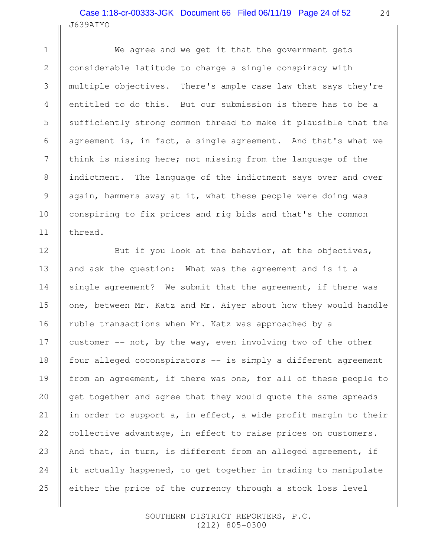#### J639AIYO Case 1:18-cr-00333-JGK Document 66 Filed 06/11/19 Page 24 of 52

1

2

3

4

5

6

7

8

9

10

11

12

13

14

15

16

17

18

19

20

21

22

23

24

25

We agree and we get it that the government gets considerable latitude to charge a single conspiracy with multiple objectives. There's ample case law that says they're entitled to do this. But our submission is there has to be a sufficiently strong common thread to make it plausible that the agreement is, in fact, a single agreement. And that's what we think is missing here; not missing from the language of the indictment. The language of the indictment says over and over again, hammers away at it, what these people were doing was conspiring to fix prices and rig bids and that's the common thread.

But if you look at the behavior, at the objectives, and ask the question: What was the agreement and is it a single agreement? We submit that the agreement, if there was one, between Mr. Katz and Mr. Aiyer about how they would handle ruble transactions when Mr. Katz was approached by a customer -- not, by the way, even involving two of the other four alleged coconspirators -- is simply a different agreement from an agreement, if there was one, for all of these people to get together and agree that they would quote the same spreads in order to support a, in effect, a wide profit margin to their collective advantage, in effect to raise prices on customers. And that, in turn, is different from an alleged agreement, if it actually happened, to get together in trading to manipulate either the price of the currency through a stock loss level

> SOUTHERN DISTRICT REPORTERS, P.C. (212) 805-0300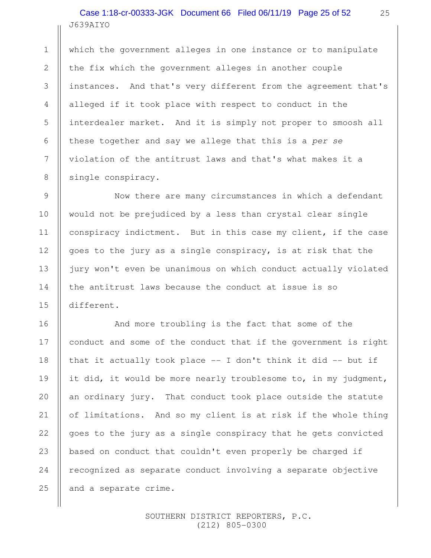## J639AIYO Case 1:18-cr-00333-JGK Document 66 Filed 06/11/19 Page 25 of 52

1

2

3

4

5

6

7

8

9

10

11

12

13

14

15

16

17

18

19

20

21

22

23

24

25

which the government alleges in one instance or to manipulate the fix which the government alleges in another couple instances. And that's very different from the agreement that's alleged if it took place with respect to conduct in the interdealer market. And it is simply not proper to smoosh all these together and say we allege that this is a per se violation of the antitrust laws and that's what makes it a single conspiracy.

Now there are many circumstances in which a defendant would not be prejudiced by a less than crystal clear single conspiracy indictment. But in this case my client, if the case goes to the jury as a single conspiracy, is at risk that the jury won't even be unanimous on which conduct actually violated the antitrust laws because the conduct at issue is so different.

And more troubling is the fact that some of the conduct and some of the conduct that if the government is right that it actually took place -- I don't think it did -- but if it did, it would be more nearly troublesome to, in my judgment, an ordinary jury. That conduct took place outside the statute of limitations. And so my client is at risk if the whole thing goes to the jury as a single conspiracy that he gets convicted based on conduct that couldn't even properly be charged if recognized as separate conduct involving a separate objective and a separate crime.

> SOUTHERN DISTRICT REPORTERS, P.C. (212) 805-0300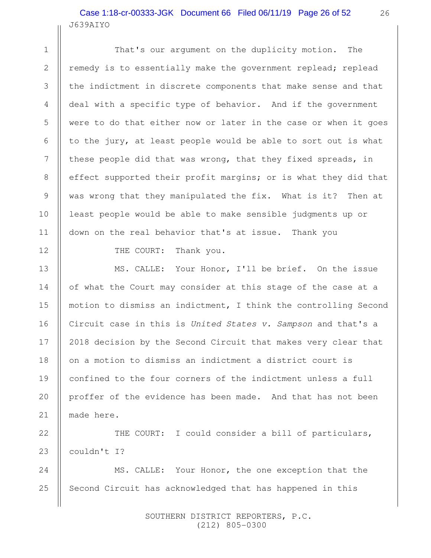#### J639AIYO Case 1:18-cr-00333-JGK Document 66 Filed 06/11/19 Page 26 of 52

That's our argument on the duplicity motion. The remedy is to essentially make the government replead; replead the indictment in discrete components that make sense and that deal with a specific type of behavior. And if the government were to do that either now or later in the case or when it goes to the jury, at least people would be able to sort out is what these people did that was wrong, that they fixed spreads, in effect supported their profit margins; or is what they did that was wrong that they manipulated the fix. What is it? Then at least people would be able to make sensible judgments up or down on the real behavior that's at issue. Thank you

THE COURT: Thank you.

1

2

3

4

5

6

7

8

9

10

11

12

13

14

15

16

17

18

19

20

21

MS. CALLE: Your Honor, I'll be brief. On the issue of what the Court may consider at this stage of the case at a motion to dismiss an indictment, I think the controlling Second Circuit case in this is United States v. Sampson and that's a 2018 decision by the Second Circuit that makes very clear that on a motion to dismiss an indictment a district court is confined to the four corners of the indictment unless a full proffer of the evidence has been made. And that has not been made here.

THE COURT: I could consider a bill of particulars, couldn't I? 22 23

MS. CALLE: Your Honor, the one exception that the Second Circuit has acknowledged that has happened in this 24 25

> SOUTHERN DISTRICT REPORTERS, P.C. (212) 805-0300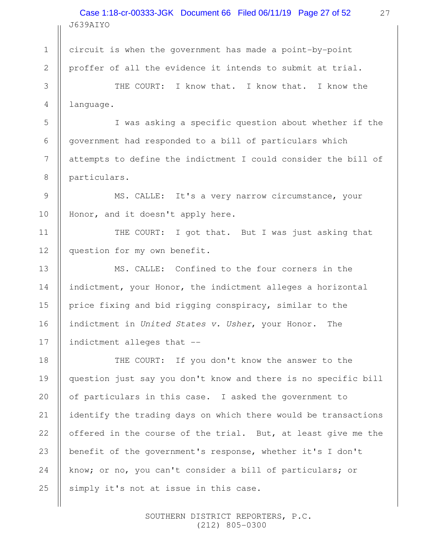#### J639AIYO Case 1:18-cr-00333-JGK Document 66 Filed 06/11/19 Page 27 of 52

circuit is when the government has made a point-by-point proffer of all the evidence it intends to submit at trial.

1

2

3

4

5

6

7

8

9

10

11

13

14

15

16

17

THE COURT: I know that. I know that. I know the language.

I was asking a specific question about whether if the government had responded to a bill of particulars which attempts to define the indictment I could consider the bill of particulars.

MS. CALLE: It's a very narrow circumstance, your Honor, and it doesn't apply here.

THE COURT: I got that. But I was just asking that question for my own benefit. 12

MS. CALLE: Confined to the four corners in the indictment, your Honor, the indictment alleges a horizontal price fixing and bid rigging conspiracy, similar to the indictment in United States v. Usher, your Honor. The indictment alleges that --

THE COURT: If you don't know the answer to the question just say you don't know and there is no specific bill of particulars in this case. I asked the government to identify the trading days on which there would be transactions offered in the course of the trial. But, at least give me the benefit of the government's response, whether it's I don't know; or no, you can't consider a bill of particulars; or simply it's not at issue in this case. 18 19 20 21 22 23 24 25

> SOUTHERN DISTRICT REPORTERS, P.C. (212) 805-0300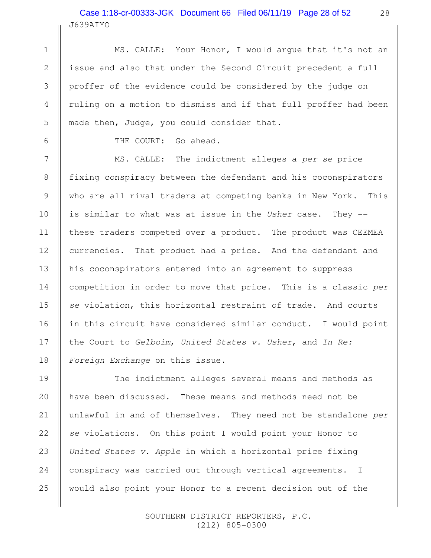# J639AIYO Case 1:18-cr-00333-JGK Document 66 Filed 06/11/19 Page 28 of 52

MS. CALLE: Your Honor, I would argue that it's not an issue and also that under the Second Circuit precedent a full proffer of the evidence could be considered by the judge on ruling on a motion to dismiss and if that full proffer had been made then, Judge, you could consider that.

1

2

3

4

5

6

7

8

9

10

11

12

13

14

15

16

17

18

19

20

21

22

23

24

25

THE COURT: Go ahead.

MS. CALLE: The indictment alleges a per se price fixing conspiracy between the defendant and his coconspirators who are all rival traders at competing banks in New York. This is similar to what was at issue in the Usher case. They -these traders competed over a product. The product was CEEMEA currencies. That product had a price. And the defendant and his coconspirators entered into an agreement to suppress competition in order to move that price. This is a classic per se violation, this horizontal restraint of trade. And courts in this circuit have considered similar conduct. I would point the Court to Gelboim, United States v. Usher, and In Re: Foreign Exchange on this issue.

The indictment alleges several means and methods as have been discussed. These means and methods need not be unlawful in and of themselves. They need not be standalone per se violations. On this point I would point your Honor to United States v. Apple in which a horizontal price fixing conspiracy was carried out through vertical agreements. I would also point your Honor to a recent decision out of the

> SOUTHERN DISTRICT REPORTERS, P.C. (212) 805-0300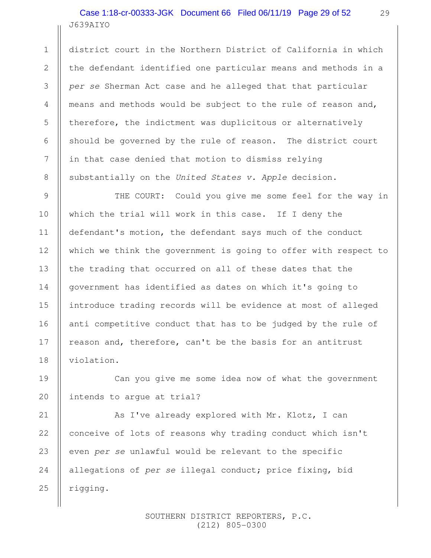# J639AIYO Case 1:18-cr-00333-JGK Document 66 Filed 06/11/19 Page 29 of 52

1

2

3

4

5

6

7

8

9

10

11

12

13

14

15

16

17

18

19

20

district court in the Northern District of California in which the defendant identified one particular means and methods in a per se Sherman Act case and he alleged that that particular means and methods would be subject to the rule of reason and, therefore, the indictment was duplicitous or alternatively should be governed by the rule of reason. The district court in that case denied that motion to dismiss relying substantially on the United States v. Apple decision.

THE COURT: Could you give me some feel for the way in which the trial will work in this case. If I deny the defendant's motion, the defendant says much of the conduct which we think the government is going to offer with respect to the trading that occurred on all of these dates that the government has identified as dates on which it's going to introduce trading records will be evidence at most of alleged anti competitive conduct that has to be judged by the rule of reason and, therefore, can't be the basis for an antitrust violation.

Can you give me some idea now of what the government intends to argue at trial?

As I've already explored with Mr. Klotz, I can conceive of lots of reasons why trading conduct which isn't even per se unlawful would be relevant to the specific allegations of per se illegal conduct; price fixing, bid rigging. 21 22 23 24 25

> SOUTHERN DISTRICT REPORTERS, P.C. (212) 805-0300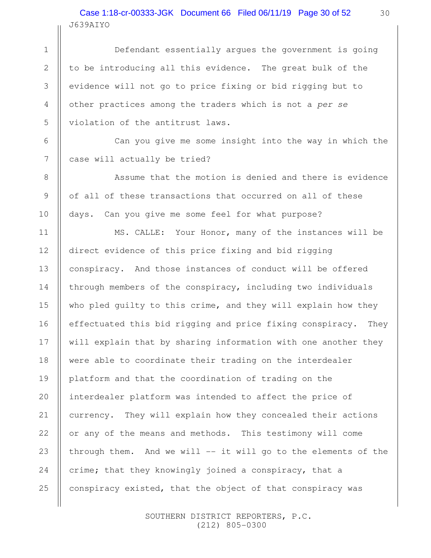## J639AIYO Case 1:18-cr-00333-JGK Document 66 Filed 06/11/19 Page 30 of 52

1

2

3

4

5

6

7

8

9

10

11

12

13

14

15

16

17

18

19

20

21

22

23

24

25

Defendant essentially argues the government is going to be introducing all this evidence. The great bulk of the evidence will not go to price fixing or bid rigging but to other practices among the traders which is not a per se violation of the antitrust laws.

Can you give me some insight into the way in which the case will actually be tried?

Assume that the motion is denied and there is evidence of all of these transactions that occurred on all of these days. Can you give me some feel for what purpose?

MS. CALLE: Your Honor, many of the instances will be direct evidence of this price fixing and bid rigging conspiracy. And those instances of conduct will be offered through members of the conspiracy, including two individuals who pled guilty to this crime, and they will explain how they effectuated this bid rigging and price fixing conspiracy. They will explain that by sharing information with one another they were able to coordinate their trading on the interdealer platform and that the coordination of trading on the interdealer platform was intended to affect the price of currency. They will explain how they concealed their actions or any of the means and methods. This testimony will come through them. And we will -- it will go to the elements of the crime; that they knowingly joined a conspiracy, that a conspiracy existed, that the object of that conspiracy was

> SOUTHERN DISTRICT REPORTERS, P.C. (212) 805-0300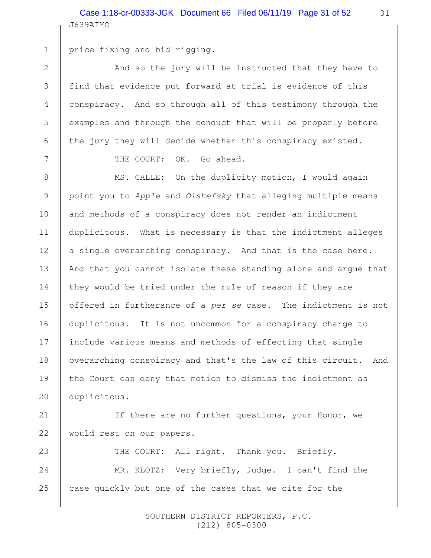J639AIYO Case 1:18-cr-00333-JGK Document 66 Filed 06/11/19 Page 31 of 52

1

2

3

4

5

6

7

8

9

10

11

12

13

14

15

16

17

18

19

20

price fixing and bid rigging.

And so the jury will be instructed that they have to find that evidence put forward at trial is evidence of this conspiracy. And so through all of this testimony through the examples and through the conduct that will be properly before the jury they will decide whether this conspiracy existed.

THE COURT: OK. Go ahead.

MS. CALLE: On the duplicity motion, I would again point you to Apple and Olshefsky that alleging multiple means and methods of a conspiracy does not render an indictment duplicitous. What is necessary is that the indictment alleges a single overarching conspiracy. And that is the case here. And that you cannot isolate these standing alone and argue that they would be tried under the rule of reason if they are offered in furtherance of a per se case. The indictment is not duplicitous. It is not uncommon for a conspiracy charge to include various means and methods of effecting that single overarching conspiracy and that's the law of this circuit. And the Court can deny that motion to dismiss the indictment as duplicitous.

If there are no further questions, your Honor, we would rest on our papers. 21 22

THE COURT: All right. Thank you. Briefly. MR. KLOTZ: Very briefly, Judge. I can't find the case quickly but one of the cases that we cite for the 23 24 25

> SOUTHERN DISTRICT REPORTERS, P.C. (212) 805-0300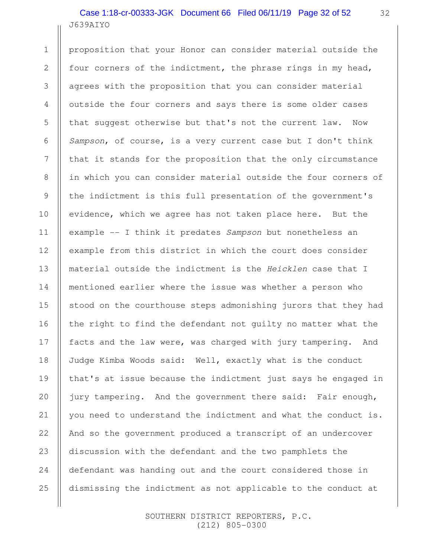# J639AIYO Case 1:18-cr-00333-JGK Document 66 Filed 06/11/19 Page 32 of 52

proposition that your Honor can consider material outside the four corners of the indictment, the phrase rings in my head, agrees with the proposition that you can consider material outside the four corners and says there is some older cases that suggest otherwise but that's not the current law. Now Sampson, of course, is a very current case but I don't think that it stands for the proposition that the only circumstance in which you can consider material outside the four corners of the indictment is this full presentation of the government's evidence, which we agree has not taken place here. But the example -- I think it predates Sampson but nonetheless an example from this district in which the court does consider material outside the indictment is the Heicklen case that I mentioned earlier where the issue was whether a person who stood on the courthouse steps admonishing jurors that they had the right to find the defendant not guilty no matter what the facts and the law were, was charged with jury tampering. And Judge Kimba Woods said: Well, exactly what is the conduct that's at issue because the indictment just says he engaged in jury tampering. And the government there said: Fair enough, you need to understand the indictment and what the conduct is. And so the government produced a transcript of an undercover discussion with the defendant and the two pamphlets the defendant was handing out and the court considered those in dismissing the indictment as not applicable to the conduct at 1 2 3 4 5 6 7 8 9 10 11 12 13 14 15 16 17 18 19 20 21 22 23 24 25

> SOUTHERN DISTRICT REPORTERS, P.C. (212) 805-0300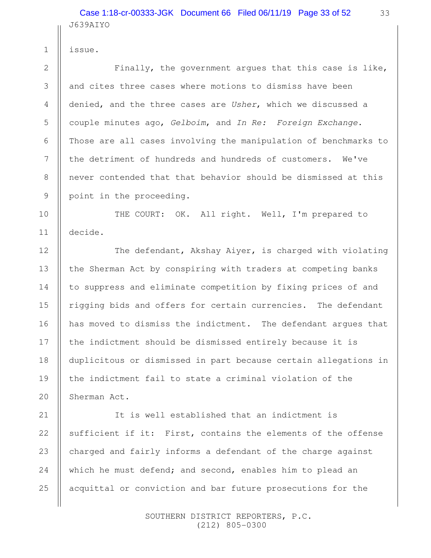J639AIYO Case 1:18-cr-00333-JGK Document 66 Filed 06/11/19 Page 33 of 52

issue.

1

2

3

4

5

6

7

8

9

10

11

12

13

14

15

16

17

18

19

20

21

22

24

25

Finally, the government argues that this case is like, and cites three cases where motions to dismiss have been denied, and the three cases are Usher, which we discussed a couple minutes ago, Gelboim, and In Re: Foreign Exchange. Those are all cases involving the manipulation of benchmarks to the detriment of hundreds and hundreds of customers. We've never contended that that behavior should be dismissed at this point in the proceeding.

THE COURT: OK. All right. Well, I'm prepared to decide.

The defendant, Akshay Aiyer, is charged with violating the Sherman Act by conspiring with traders at competing banks to suppress and eliminate competition by fixing prices of and rigging bids and offers for certain currencies. The defendant has moved to dismiss the indictment. The defendant argues that the indictment should be dismissed entirely because it is duplicitous or dismissed in part because certain allegations in the indictment fail to state a criminal violation of the Sherman Act.

It is well established that an indictment is sufficient if it: First, contains the elements of the offense charged and fairly informs a defendant of the charge against which he must defend; and second, enables him to plead an acquittal or conviction and bar future prosecutions for the 23

> SOUTHERN DISTRICT REPORTERS, P.C. (212) 805-0300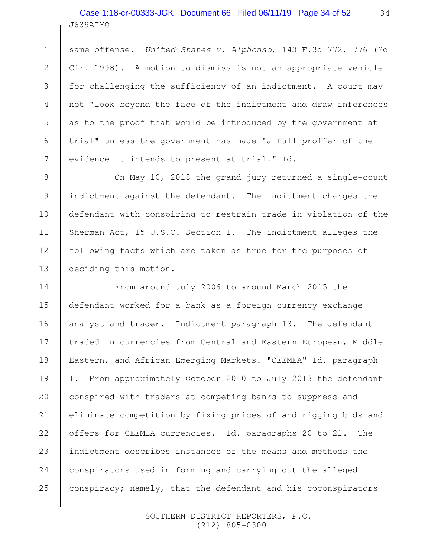J639AIYO Case 1:18-cr-00333-JGK Document 66 Filed 06/11/19 Page 34 of 52

1

2

3

4

5

6

7

8

9

10

11

12

13

14

15

16

17

18

19

20

21

22

23

24

25

same offense. United States v. Alphonso, 143 F.3d 772, 776 (2d Cir. 1998). A motion to dismiss is not an appropriate vehicle for challenging the sufficiency of an indictment. A court may not "look beyond the face of the indictment and draw inferences as to the proof that would be introduced by the government at trial" unless the government has made "a full proffer of the evidence it intends to present at trial." Id.

On May 10, 2018 the grand jury returned a single-count indictment against the defendant. The indictment charges the defendant with conspiring to restrain trade in violation of the Sherman Act, 15 U.S.C. Section 1. The indictment alleges the following facts which are taken as true for the purposes of deciding this motion.

From around July 2006 to around March 2015 the defendant worked for a bank as a foreign currency exchange analyst and trader. Indictment paragraph 13. The defendant traded in currencies from Central and Eastern European, Middle Eastern, and African Emerging Markets. "CEEMEA" Id. paragraph 1. From approximately October 2010 to July 2013 the defendant conspired with traders at competing banks to suppress and eliminate competition by fixing prices of and rigging bids and offers for CEEMEA currencies. Id. paragraphs 20 to 21. The indictment describes instances of the means and methods the conspirators used in forming and carrying out the alleged conspiracy; namely, that the defendant and his coconspirators

> SOUTHERN DISTRICT REPORTERS, P.C. (212) 805-0300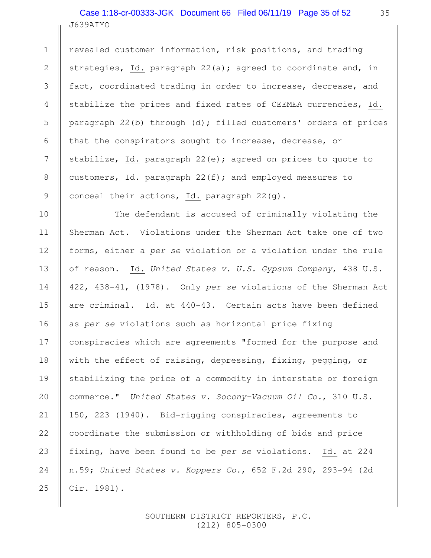J639AIYO Case 1:18-cr-00333-JGK Document 66 Filed 06/11/19 Page 35 of 52

1

2

3

4

5

6

7

8

9

10

11

12

13

14

15

16

17

18

19

20

21

22

23

24

25

revealed customer information, risk positions, and trading strategies, Id. paragraph 22(a); agreed to coordinate and, in fact, coordinated trading in order to increase, decrease, and stabilize the prices and fixed rates of CEEMEA currencies, Id. paragraph 22(b) through (d); filled customers' orders of prices that the conspirators sought to increase, decrease, or stabilize, Id. paragraph  $22(e)$ ; agreed on prices to quote to customers, Id. paragraph  $22(f)$ ; and employed measures to conceal their actions, Id. paragraph 22(g).

The defendant is accused of criminally violating the Sherman Act. Violations under the Sherman Act take one of two forms, either a per se violation or a violation under the rule of reason. Id. United States v. U.S. Gypsum Company, 438 U.S. 422, 438-41, (1978). Only per se violations of the Sherman Act are criminal. Id. at 440-43. Certain acts have been defined as per se violations such as horizontal price fixing conspiracies which are agreements "formed for the purpose and with the effect of raising, depressing, fixing, pegging, or stabilizing the price of a commodity in interstate or foreign commerce." United States v. Socony-Vacuum Oil Co., 310 U.S. 150, 223 (1940). Bid-rigging conspiracies, agreements to coordinate the submission or withholding of bids and price fixing, have been found to be per se violations. Id. at 224 n.59; United States v. Koppers Co., 652 F.2d 290, 293-94 (2d Cir. 1981).

> SOUTHERN DISTRICT REPORTERS, P.C. (212) 805-0300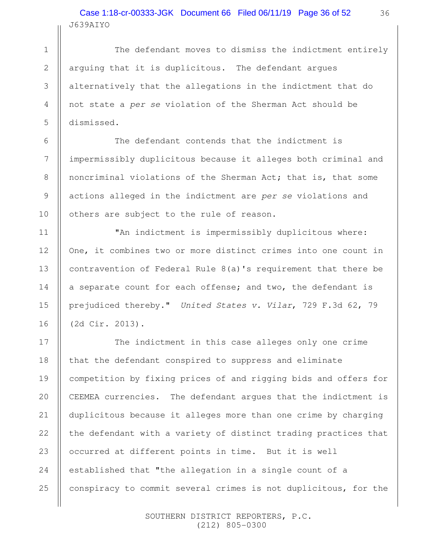#### J639AIYO Case 1:18-cr-00333-JGK Document 66 Filed 06/11/19 Page 36 of 52

The defendant moves to dismiss the indictment entirely arguing that it is duplicitous. The defendant argues alternatively that the allegations in the indictment that do not state a per se violation of the Sherman Act should be dismissed.

The defendant contends that the indictment is impermissibly duplicitous because it alleges both criminal and noncriminal violations of the Sherman Act; that is, that some actions alleged in the indictment are per se violations and others are subject to the rule of reason.

"An indictment is impermissibly duplicitous where: One, it combines two or more distinct crimes into one count in contravention of Federal Rule 8(a)'s requirement that there be a separate count for each offense; and two, the defendant is prejudiced thereby." United States v. Vilar, 729 F.3d 62, 79 (2d Cir. 2013).

The indictment in this case alleges only one crime that the defendant conspired to suppress and eliminate competition by fixing prices of and rigging bids and offers for CEEMEA currencies. The defendant argues that the indictment is duplicitous because it alleges more than one crime by charging the defendant with a variety of distinct trading practices that occurred at different points in time. But it is well established that "the allegation in a single count of a conspiracy to commit several crimes is not duplicitous, for the 17 18 19 20 21 22 23 24 25

> SOUTHERN DISTRICT REPORTERS, P.C. (212) 805-0300

1

2

3

4

5

6

7

8

9

10

11

12

13

14

15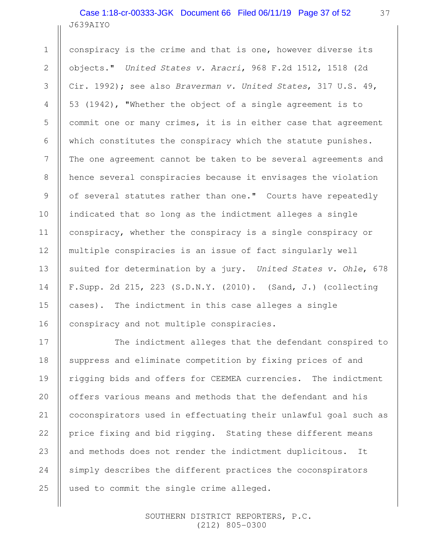J639AIYO Case 1:18-cr-00333-JGK Document 66 Filed 06/11/19 Page 37 of 52

1

2

3

4

5

6

7

8

9

10

11

12

13

14

15

16

17

18

19

20

21

22

23

24

25

conspiracy is the crime and that is one, however diverse its objects." United States v. Aracri, 968 F.2d 1512, 1518 (2d Cir. 1992); see also Braverman v. United States, 317 U.S. 49, 53 (1942), "Whether the object of a single agreement is to commit one or many crimes, it is in either case that agreement which constitutes the conspiracy which the statute punishes. The one agreement cannot be taken to be several agreements and hence several conspiracies because it envisages the violation of several statutes rather than one." Courts have repeatedly indicated that so long as the indictment alleges a single conspiracy, whether the conspiracy is a single conspiracy or multiple conspiracies is an issue of fact singularly well suited for determination by a jury. United States v. Ohle, 678 F.Supp. 2d 215, 223 (S.D.N.Y. (2010). (Sand, J.) (collecting cases). The indictment in this case alleges a single conspiracy and not multiple conspiracies.

The indictment alleges that the defendant conspired to suppress and eliminate competition by fixing prices of and rigging bids and offers for CEEMEA currencies. The indictment offers various means and methods that the defendant and his coconspirators used in effectuating their unlawful goal such as price fixing and bid rigging. Stating these different means and methods does not render the indictment duplicitous. It simply describes the different practices the coconspirators used to commit the single crime alleged.

> SOUTHERN DISTRICT REPORTERS, P.C. (212) 805-0300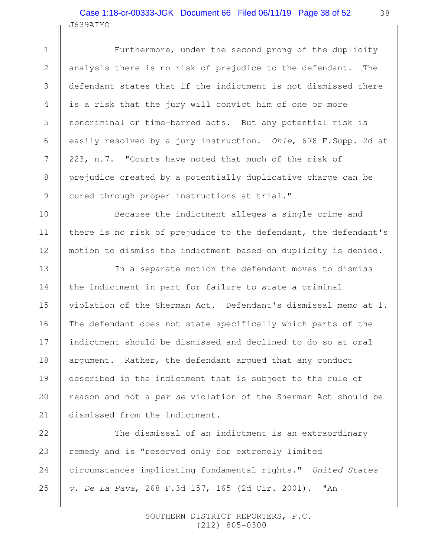## J639AIYO Case 1:18-cr-00333-JGK Document 66 Filed 06/11/19 Page 38 of 52

1

2

3

4

5

6

7

8

9

10

11

12

13

14

15

16

17

18

19

20

21

Furthermore, under the second prong of the duplicity analysis there is no risk of prejudice to the defendant. The defendant states that if the indictment is not dismissed there is a risk that the jury will convict him of one or more noncriminal or time-barred acts. But any potential risk is easily resolved by a jury instruction. Ohle, 678 F.Supp. 2d at 223, n.7. "Courts have noted that much of the risk of prejudice created by a potentially duplicative charge can be cured through proper instructions at trial."

Because the indictment alleges a single crime and there is no risk of prejudice to the defendant, the defendant's motion to dismiss the indictment based on duplicity is denied.

In a separate motion the defendant moves to dismiss the indictment in part for failure to state a criminal violation of the Sherman Act. Defendant's dismissal memo at 1. The defendant does not state specifically which parts of the indictment should be dismissed and declined to do so at oral argument. Rather, the defendant argued that any conduct described in the indictment that is subject to the rule of reason and not a per se violation of the Sherman Act should be dismissed from the indictment.

The dismissal of an indictment is an extraordinary remedy and is "reserved only for extremely limited circumstances implicating fundamental rights." United States v. De La Pava, 268 F.3d 157, 165 (2d Cir. 2001). "An 22 23 24 25

> SOUTHERN DISTRICT REPORTERS, P.C. (212) 805-0300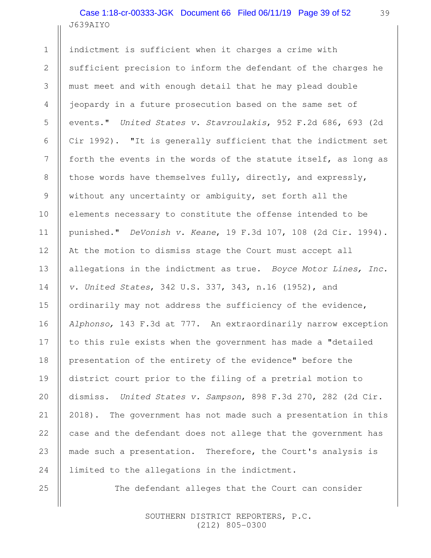# J639AIYO Case 1:18-cr-00333-JGK Document 66 Filed 06/11/19 Page 39 of 52

indictment is sufficient when it charges a crime with sufficient precision to inform the defendant of the charges he must meet and with enough detail that he may plead double jeopardy in a future prosecution based on the same set of events." United States v. Stavroulakis, 952 F.2d 686, 693 (2d Cir 1992). "It is generally sufficient that the indictment set forth the events in the words of the statute itself, as long as those words have themselves fully, directly, and expressly, without any uncertainty or ambiguity, set forth all the elements necessary to constitute the offense intended to be punished." DeVonish v. Keane, 19 F.3d 107, 108 (2d Cir. 1994). At the motion to dismiss stage the Court must accept all allegations in the indictment as true. Boyce Motor Lines, Inc. v. United States, 342 U.S. 337, 343, n.16 (1952), and ordinarily may not address the sufficiency of the evidence, Alphonso, 143 F.3d at 777. An extraordinarily narrow exception to this rule exists when the government has made a "detailed presentation of the entirety of the evidence" before the district court prior to the filing of a pretrial motion to dismiss. United States v. Sampson, 898 F.3d 270, 282 (2d Cir. 2018). The government has not made such a presentation in this case and the defendant does not allege that the government has made such a presentation. Therefore, the Court's analysis is limited to the allegations in the indictment. 1 2 3 4 5 6 7 8 9 10 11 12 13 14 15 16 17 18 19 20 21 22 23 24

The defendant alleges that the Court can consider

 SOUTHERN DISTRICT REPORTERS, P.C. (212) 805-0300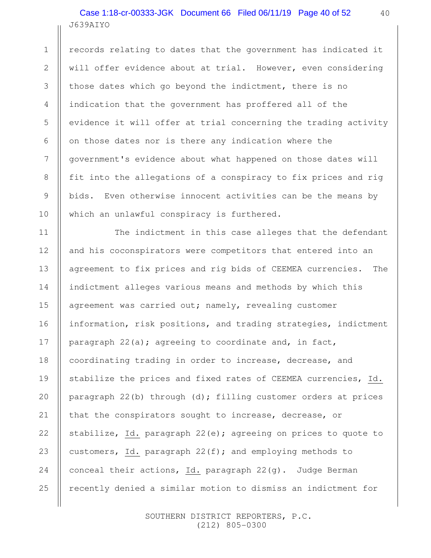# J639AIYO Case 1:18-cr-00333-JGK Document 66 Filed 06/11/19 Page 40 of 52

1

2

3

4

5

6

7

8

9

10

11

13

16

18

20

21

22

25

records relating to dates that the government has indicated it will offer evidence about at trial. However, even considering those dates which go beyond the indictment, there is no indication that the government has proffered all of the evidence it will offer at trial concerning the trading activity on those dates nor is there any indication where the government's evidence about what happened on those dates will fit into the allegations of a conspiracy to fix prices and rig bids. Even otherwise innocent activities can be the means by which an unlawful conspiracy is furthered.

The indictment in this case alleges that the defendant and his coconspirators were competitors that entered into an agreement to fix prices and rig bids of CEEMEA currencies. The indictment alleges various means and methods by which this agreement was carried out; namely, revealing customer information, risk positions, and trading strategies, indictment paragraph  $22(a)$ ; agreeing to coordinate and, in fact, coordinating trading in order to increase, decrease, and stabilize the prices and fixed rates of CEEMEA currencies, Id. paragraph 22(b) through (d); filling customer orders at prices that the conspirators sought to increase, decrease, or stabilize, Id. paragraph 22(e); agreeing on prices to quote to customers, Id. paragraph  $22(f)$ ; and employing methods to conceal their actions, Id. paragraph 22(g). Judge Berman recently denied a similar motion to dismiss an indictment for 12 14 15 17 19 23 24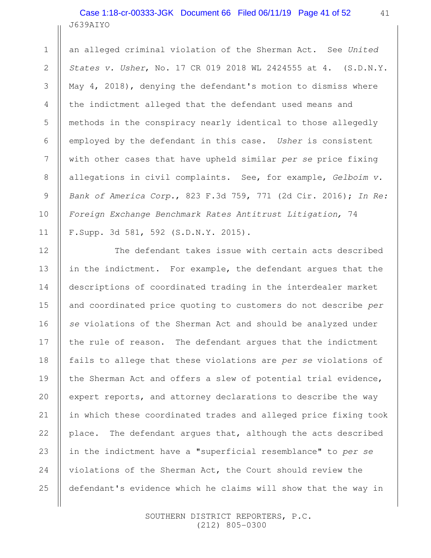#### J639AIYO Case 1:18-cr-00333-JGK Document 66 Filed 06/11/19 Page 41 of 52

1

2

3

4

5

6

7

8

9

10

11

12

13

14

15

16

17

18

19

20

21

22

23

24

25

an alleged criminal violation of the Sherman Act. See United States v. Usher, No. 17 CR 019 2018 WL 2424555 at 4. (S.D.N.Y. May 4, 2018), denying the defendant's motion to dismiss where the indictment alleged that the defendant used means and methods in the conspiracy nearly identical to those allegedly employed by the defendant in this case. Usher is consistent with other cases that have upheld similar per se price fixing allegations in civil complaints. See, for example, Gelboim v. Bank of America Corp., 823 F.3d 759, 771 (2d Cir. 2016); In Re: Foreign Exchange Benchmark Rates Antitrust Litigation, 74 F.Supp. 3d 581, 592 (S.D.N.Y. 2015).

The defendant takes issue with certain acts described in the indictment. For example, the defendant argues that the descriptions of coordinated trading in the interdealer market and coordinated price quoting to customers do not describe per se violations of the Sherman Act and should be analyzed under the rule of reason. The defendant argues that the indictment fails to allege that these violations are per se violations of the Sherman Act and offers a slew of potential trial evidence, expert reports, and attorney declarations to describe the way in which these coordinated trades and alleged price fixing took place. The defendant argues that, although the acts described in the indictment have a "superficial resemblance" to per se violations of the Sherman Act, the Court should review the defendant's evidence which he claims will show that the way in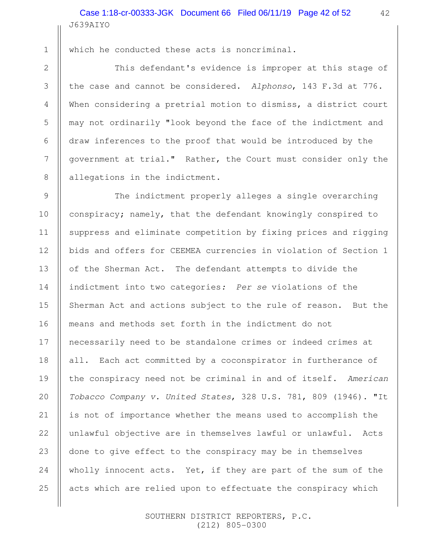1

2

3

4

5

6

7

8

9

10

11

13

14

15

16

18

20

21

22

24

25

which he conducted these acts is noncriminal.

This defendant's evidence is improper at this stage of the case and cannot be considered. Alphonso, 143 F.3d at 776. When considering a pretrial motion to dismiss, a district court may not ordinarily "look beyond the face of the indictment and draw inferences to the proof that would be introduced by the government at trial." Rather, the Court must consider only the allegations in the indictment.

The indictment properly alleges a single overarching conspiracy; namely, that the defendant knowingly conspired to suppress and eliminate competition by fixing prices and rigging bids and offers for CEEMEA currencies in violation of Section 1 of the Sherman Act. The defendant attempts to divide the indictment into two categories: Per se violations of the Sherman Act and actions subject to the rule of reason. But the means and methods set forth in the indictment do not necessarily need to be standalone crimes or indeed crimes at all. Each act committed by a coconspirator in furtherance of the conspiracy need not be criminal in and of itself. American Tobacco Company v. United States, 328 U.S. 781, 809 (1946). "It is not of importance whether the means used to accomplish the unlawful objective are in themselves lawful or unlawful. Acts done to give effect to the conspiracy may be in themselves wholly innocent acts. Yet, if they are part of the sum of the acts which are relied upon to effectuate the conspiracy which 12 17 19 23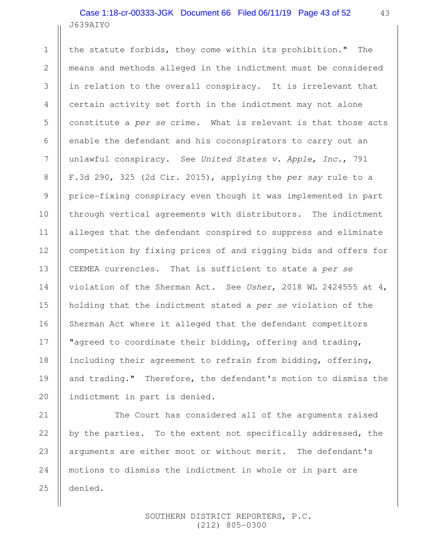# J639AIYO Case 1:18-cr-00333-JGK Document 66 Filed 06/11/19 Page 43 of 52

1

2

3

4

5

6

7

8

9

10

11

12

13

14

15

16

17

18

19

20

21

22

23

24

25

the statute forbids, they come within its prohibition." The means and methods alleged in the indictment must be considered in relation to the overall conspiracy. It is irrelevant that certain activity set forth in the indictment may not alone constitute a per se crime. What is relevant is that those acts enable the defendant and his coconspirators to carry out an unlawful conspiracy. See United States v. Apple, Inc., 791 F.3d 290, 325 (2d Cir. 2015), applying the per say rule to a price-fixing conspiracy even though it was implemented in part through vertical agreements with distributors. The indictment alleges that the defendant conspired to suppress and eliminate competition by fixing prices of and rigging bids and offers for CEEMEA currencies. That is sufficient to state a per se violation of the Sherman Act. See Usher, 2018 WL 2424555 at 4, holding that the indictment stated a per se violation of the Sherman Act where it alleged that the defendant competitors "agreed to coordinate their bidding, offering and trading, including their agreement to refrain from bidding, offering, and trading." Therefore, the defendant's motion to dismiss the indictment in part is denied.

The Court has considered all of the arguments raised by the parties. To the extent not specifically addressed, the arguments are either moot or without merit. The defendant's motions to dismiss the indictment in whole or in part are denied.

> SOUTHERN DISTRICT REPORTERS, P.C. (212) 805-0300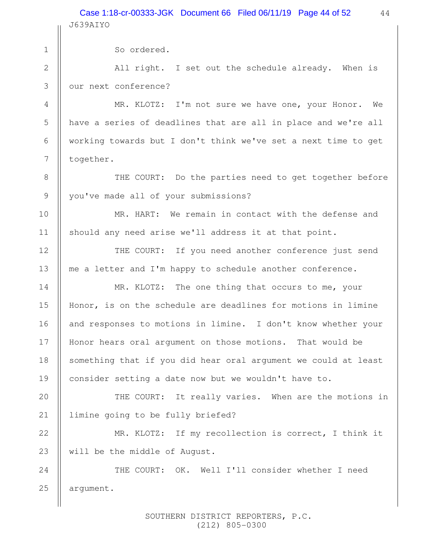44 Case 1:18-cr-00333-JGK Document 66 Filed 06/11/19 Page 44 of 52J639AIYO

| $\mathbf 1$    | So ordered.                                                    |  |
|----------------|----------------------------------------------------------------|--|
| $\mathbf{2}$   | All right. I set out the schedule already. When is             |  |
| $\mathcal{S}$  | our next conference?                                           |  |
| 4              | MR. KLOTZ: I'm not sure we have one, your Honor. We            |  |
| 5              | have a series of deadlines that are all in place and we're all |  |
| 6              | working towards but I don't think we've set a next time to get |  |
| $\overline{7}$ | together.                                                      |  |
| $8\,$          | THE COURT: Do the parties need to get together before          |  |
| $\mathsf 9$    | you've made all of your submissions?                           |  |
| 10             | MR. HART: We remain in contact with the defense and            |  |
| 11             | should any need arise we'll address it at that point.          |  |
| 12             | THE COURT: If you need another conference just send            |  |
| 13             | me a letter and I'm happy to schedule another conference.      |  |
| 14             | MR. KLOTZ: The one thing that occurs to me, your               |  |
| 15             | Honor, is on the schedule are deadlines for motions in limine  |  |
| 16             | and responses to motions in limine. I don't know whether your  |  |
| 17             | Honor hears oral argument on those motions.<br>That would be   |  |
| 18             | something that if you did hear oral argument we could at least |  |
| 19             | consider setting a date now but we wouldn't have to.           |  |
| 20             | THE COURT: It really varies. When are the motions in           |  |
| 21             | limine going to be fully briefed?                              |  |
| 22             | MR. KLOTZ: If my recollection is correct, I think it           |  |
| 23             | will be the middle of August.                                  |  |
| 24             | THE COURT: OK. Well I'll consider whether I need               |  |
| 25             | argument.                                                      |  |
|                |                                                                |  |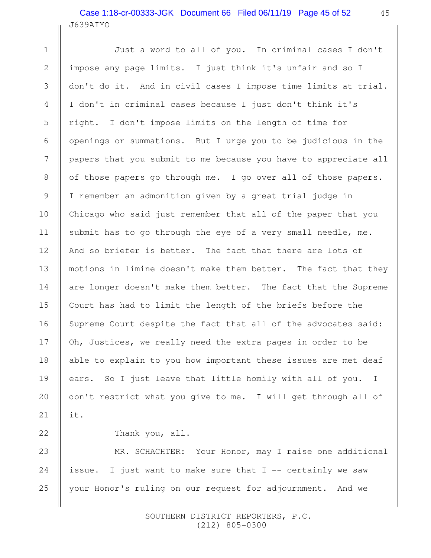## J639AIYO Case 1:18-cr-00333-JGK Document 66 Filed 06/11/19 Page 45 of 52

Just a word to all of you. In criminal cases I don't impose any page limits. I just think it's unfair and so I don't do it. And in civil cases I impose time limits at trial. I don't in criminal cases because I just don't think it's right. I don't impose limits on the length of time for openings or summations. But I urge you to be judicious in the papers that you submit to me because you have to appreciate all of those papers go through me. I go over all of those papers. I remember an admonition given by a great trial judge in Chicago who said just remember that all of the paper that you submit has to go through the eye of a very small needle, me. And so briefer is better. The fact that there are lots of motions in limine doesn't make them better. The fact that they are longer doesn't make them better. The fact that the Supreme Court has had to limit the length of the briefs before the Supreme Court despite the fact that all of the advocates said: Oh, Justices, we really need the extra pages in order to be able to explain to you how important these issues are met deaf ears. So I just leave that little homily with all of you. I don't restrict what you give to me. I will get through all of it. 1 2 3 4 5 6 7 8 9 10 11 12 13 14 15 16 17 18 19 20 21

#### Thank you, all.

22

MR. SCHACHTER: Your Honor, may I raise one additional issue. I just want to make sure that  $I$  -- certainly we saw your Honor's ruling on our request for adjournment. And we 23 24 25

> SOUTHERN DISTRICT REPORTERS, P.C. (212) 805-0300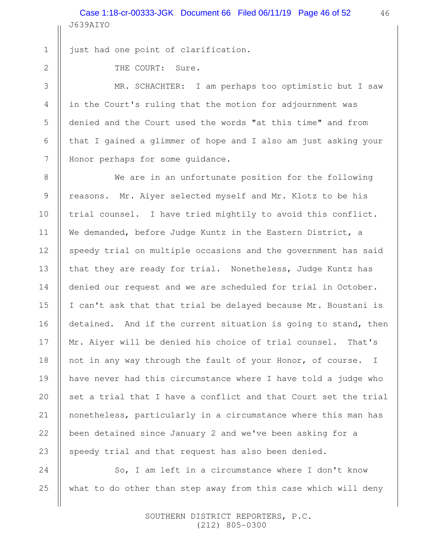J639AIYO Case 1:18-cr-00333-JGK Document 66 Filed 06/11/19 Page 46 of 52

2

3

4

5

6

7

8

9

10

11

12

13

14

15

16

17

18

19

20

21

22

23

24

25

1

THE COURT: Sure.

just had one point of clarification.

MR. SCHACHTER: I am perhaps too optimistic but I saw in the Court's ruling that the motion for adjournment was denied and the Court used the words "at this time" and from that I gained a glimmer of hope and I also am just asking your Honor perhaps for some guidance.

We are in an unfortunate position for the following reasons. Mr. Aiyer selected myself and Mr. Klotz to be his trial counsel. I have tried mightily to avoid this conflict. We demanded, before Judge Kuntz in the Eastern District, a speedy trial on multiple occasions and the government has said that they are ready for trial. Nonetheless, Judge Kuntz has denied our request and we are scheduled for trial in October. I can't ask that that trial be delayed because Mr. Boustani is detained. And if the current situation is going to stand, then Mr. Aiyer will be denied his choice of trial counsel. That's not in any way through the fault of your Honor, of course. I have never had this circumstance where I have told a judge who set a trial that I have a conflict and that Court set the trial nonetheless, particularly in a circumstance where this man has been detained since January 2 and we've been asking for a speedy trial and that request has also been denied.

So, I am left in a circumstance where I don't know what to do other than step away from this case which will deny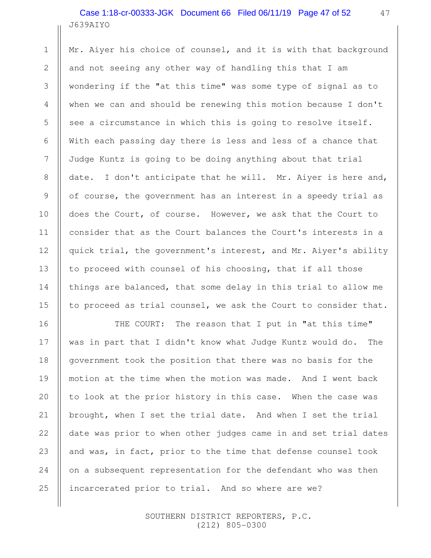## J639AIYO Case 1:18-cr-00333-JGK Document 66 Filed 06/11/19 Page 47 of 52

1

2

3

4

5

6

7

8

9

10

11

12

13

14

15

16

17

18

19

20

21

22

23

24

25

Mr. Aiyer his choice of counsel, and it is with that background and not seeing any other way of handling this that I am wondering if the "at this time" was some type of signal as to when we can and should be renewing this motion because I don't see a circumstance in which this is going to resolve itself. With each passing day there is less and less of a chance that Judge Kuntz is going to be doing anything about that trial date. I don't anticipate that he will. Mr. Aiyer is here and, of course, the government has an interest in a speedy trial as does the Court, of course. However, we ask that the Court to consider that as the Court balances the Court's interests in a quick trial, the government's interest, and Mr. Aiyer's ability to proceed with counsel of his choosing, that if all those things are balanced, that some delay in this trial to allow me to proceed as trial counsel, we ask the Court to consider that.

THE COURT: The reason that I put in "at this time" was in part that I didn't know what Judge Kuntz would do. The government took the position that there was no basis for the motion at the time when the motion was made. And I went back to look at the prior history in this case. When the case was brought, when I set the trial date. And when I set the trial date was prior to when other judges came in and set trial dates and was, in fact, prior to the time that defense counsel took on a subsequent representation for the defendant who was then incarcerated prior to trial. And so where are we?

> SOUTHERN DISTRICT REPORTERS, P.C. (212) 805-0300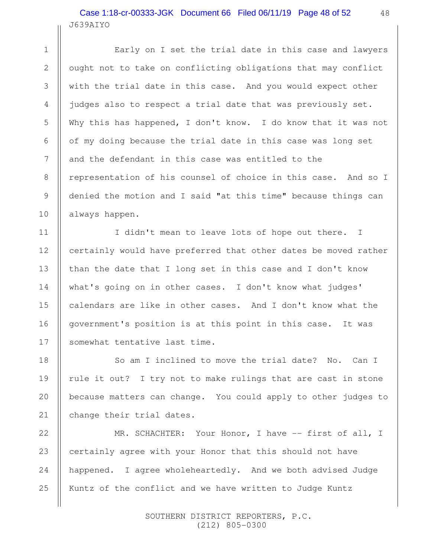## J639AIYO Case 1:18-cr-00333-JGK Document 66 Filed 06/11/19 Page 48 of 52

1

2

3

4

5

6

7

8

9

10

11

12

13

14

15

16

17

18

20

21

Early on I set the trial date in this case and lawyers ought not to take on conflicting obligations that may conflict with the trial date in this case. And you would expect other judges also to respect a trial date that was previously set. Why this has happened, I don't know. I do know that it was not of my doing because the trial date in this case was long set and the defendant in this case was entitled to the representation of his counsel of choice in this case. And so I denied the motion and I said "at this time" because things can always happen.

I didn't mean to leave lots of hope out there. I certainly would have preferred that other dates be moved rather than the date that I long set in this case and I don't know what's going on in other cases. I don't know what judges' calendars are like in other cases. And I don't know what the government's position is at this point in this case. It was somewhat tentative last time.

So am I inclined to move the trial date? No. Can I rule it out? I try not to make rulings that are cast in stone because matters can change. You could apply to other judges to change their trial dates. 19

MR. SCHACHTER: Your Honor, I have -- first of all, I certainly agree with your Honor that this should not have happened. I agree wholeheartedly. And we both advised Judge Kuntz of the conflict and we have written to Judge Kuntz 22 23 24 25

> SOUTHERN DISTRICT REPORTERS, P.C. (212) 805-0300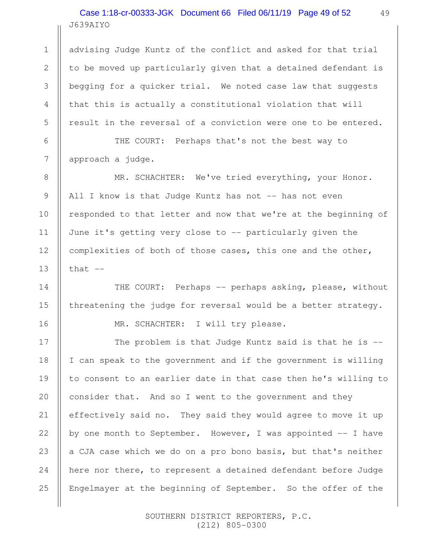# J639AIYO Case 1:18-cr-00333-JGK Document 66 Filed 06/11/19 Page 49 of 52

advising Judge Kuntz of the conflict and asked for that trial to be moved up particularly given that a detained defendant is begging for a quicker trial. We noted case law that suggests that this is actually a constitutional violation that will result in the reversal of a conviction were one to be entered.

THE COURT: Perhaps that's not the best way to approach a judge.

MR. SCHACHTER: We've tried everything, your Honor. All I know is that Judge Kuntz has not -- has not even responded to that letter and now that we're at the beginning of June it's getting very close to -- particularly given the complexities of both of those cases, this one and the other, that  $--$ 

THE COURT: Perhaps -- perhaps asking, please, without threatening the judge for reversal would be a better strategy.

MR. SCHACHTER: I will try please.

The problem is that Judge Kuntz said is that he is -- I can speak to the government and if the government is willing to consent to an earlier date in that case then he's willing to consider that. And so I went to the government and they effectively said no. They said they would agree to move it up by one month to September. However, I was appointed  $-$ - I have a CJA case which we do on a pro bono basis, but that's neither here nor there, to represent a detained defendant before Judge Engelmayer at the beginning of September. So the offer of the

> SOUTHERN DISTRICT REPORTERS, P.C. (212) 805-0300

1

2

3

4

5

6

7

8

9

10

11

12

13

14

15

16

17

18

19

20

21

22

23

24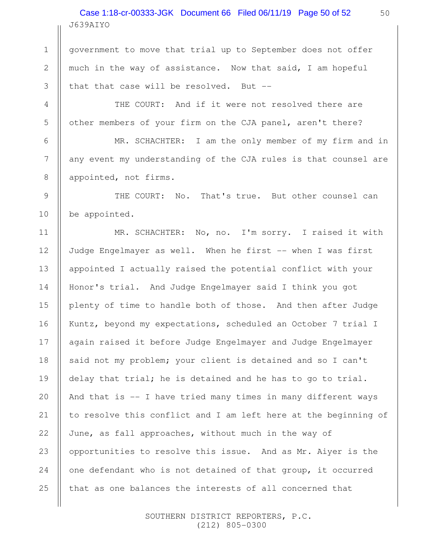J639AIYO Case 1:18-cr-00333-JGK Document 66 Filed 06/11/19 Page 50 of 52

government to move that trial up to September does not offer much in the way of assistance. Now that said, I am hopeful that that case will be resolved. But --

1

2

3

4

5

6

7

8

9

10

THE COURT: And if it were not resolved there are other members of your firm on the CJA panel, aren't there?

MR. SCHACHTER: I am the only member of my firm and in any event my understanding of the CJA rules is that counsel are appointed, not firms.

THE COURT: No. That's true. But other counsel can be appointed.

MR. SCHACHTER: No, no. I'm sorry. I raised it with Judge Engelmayer as well. When he first -- when I was first appointed I actually raised the potential conflict with your Honor's trial. And Judge Engelmayer said I think you got plenty of time to handle both of those. And then after Judge Kuntz, beyond my expectations, scheduled an October 7 trial I again raised it before Judge Engelmayer and Judge Engelmayer said not my problem; your client is detained and so I can't delay that trial; he is detained and he has to go to trial. And that is -- I have tried many times in many different ways to resolve this conflict and I am left here at the beginning of June, as fall approaches, without much in the way of opportunities to resolve this issue. And as Mr. Aiyer is the one defendant who is not detained of that group, it occurred that as one balances the interests of all concerned that 11 12 13 14 15 16 17 18 19 20 21 22 23 24 25

> SOUTHERN DISTRICT REPORTERS, P.C. (212) 805-0300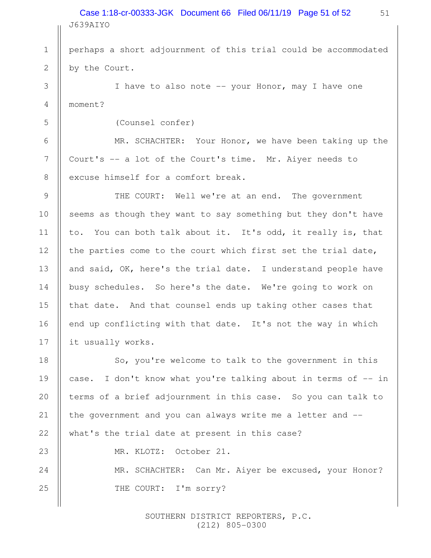J639AIYO Case 1:18-cr-00333-JGK Document 66 Filed 06/11/19 Page 51 of 52

perhaps a short adjournment of this trial could be accommodated by the Court.

I have to also note -- your Honor, may I have one moment?

(Counsel confer)

1

2

3

4

5

6

7

8

9

10

11

12

13

14

15

16

17

23

24

25

MR. SCHACHTER: Your Honor, we have been taking up the Court's -- a lot of the Court's time. Mr. Aiyer needs to excuse himself for a comfort break.

THE COURT: Well we're at an end. The government seems as though they want to say something but they don't have to. You can both talk about it. It's odd, it really is, that the parties come to the court which first set the trial date, and said, OK, here's the trial date. I understand people have busy schedules. So here's the date. We're going to work on that date. And that counsel ends up taking other cases that end up conflicting with that date. It's not the way in which it usually works.

So, you're welcome to talk to the government in this case. I don't know what you're talking about in terms of -- in terms of a brief adjournment in this case. So you can talk to the government and you can always write me a letter and - what's the trial date at present in this case? 18 19 20 21 22

MR. KLOTZ: October 21.

MR. SCHACHTER: Can Mr. Aiyer be excused, your Honor? THE COURT: I'm sorry?

> SOUTHERN DISTRICT REPORTERS, P.C. (212) 805-0300